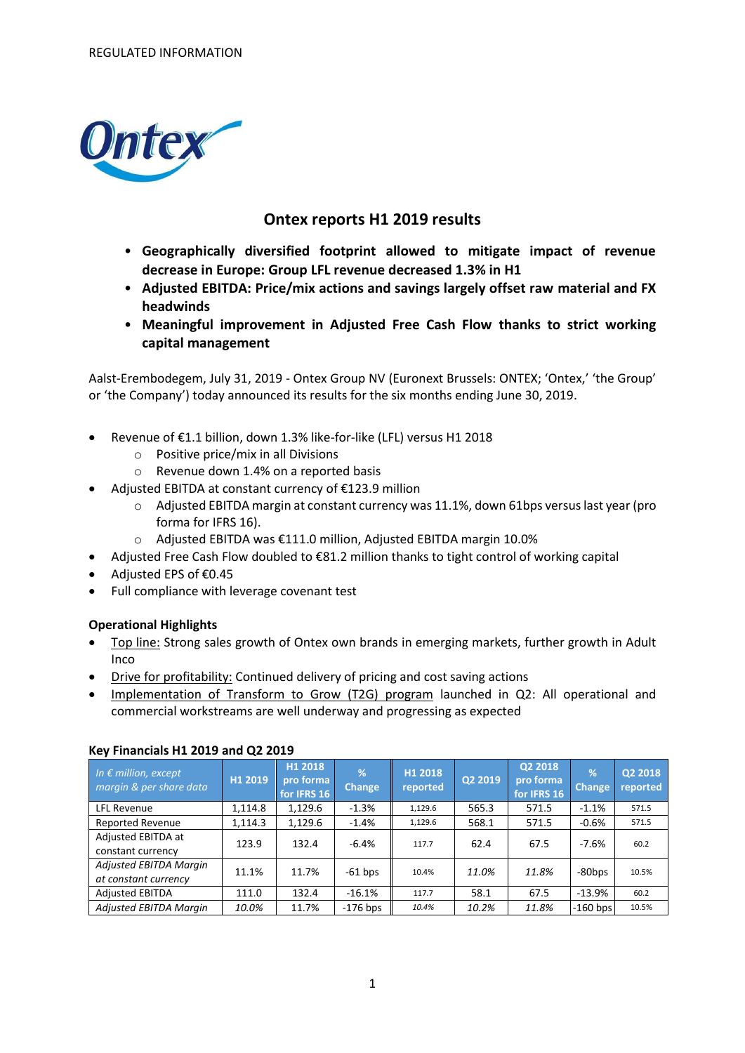

# **Ontex reports H1 2019 results**

- **Geographically diversified footprint allowed to mitigate impact of revenue decrease in Europe: Group LFL revenue decreased 1.3% in H1**
- **Adjusted EBITDA: Price/mix actions and savings largely offset raw material and FX headwinds**
- **Meaningful improvement in Adjusted Free Cash Flow thanks to strict working capital management**

Aalst-Erembodegem, July 31, 2019 - Ontex Group NV (Euronext Brussels: ONTEX; 'Ontex,' 'the Group' or 'the Company') today announced its results for the six months ending June 30, 2019.

- Revenue of €1.1 billion, down 1.3% like-for-like (LFL) versus H1 2018
	- o Positive price/mix in all Divisions
	- o Revenue down 1.4% on a reported basis
- Adjusted EBITDA at constant currency of €123.9 million
	- o Adjusted EBITDA margin at constant currency was 11.1%, down 61bps versus last year (pro forma for IFRS 16).
	- o Adjusted EBITDA was €111.0 million, Adjusted EBITDA margin 10.0%
- Adjusted Free Cash Flow doubled to €81.2 million thanks to tight control of working capital
- Adjusted EPS of €0.45
- Full compliance with leverage covenant test

# **Operational Highlights**

- Top line: Strong sales growth of Ontex own brands in emerging markets, further growth in Adult Inco
- Drive for profitability: Continued delivery of pricing and cost saving actions
- Implementation of Transform to Grow (T2G) program launched in Q2: All operational and commercial workstreams are well underway and progressing as expected

| In $\epsilon$ million, except<br>margin & per share data | H1 2019 | H1 2018<br>pro forma<br>for IFRS 16 | $\%$<br><b>Change</b> | H1 2018<br>reported | Q2 2019 | Q2 2018<br>pro forma<br>for IFRS 16 | %<br><b>Change</b> | Q2 2018<br>reported |
|----------------------------------------------------------|---------|-------------------------------------|-----------------------|---------------------|---------|-------------------------------------|--------------------|---------------------|
| LFL Revenue                                              | 1.114.8 | 1,129.6                             | $-1.3%$               | 1,129.6             | 565.3   | 571.5                               | $-1.1%$            | 571.5               |
| <b>Reported Revenue</b>                                  | 1,114.3 | 1,129.6                             | $-1.4%$               | 1,129.6             | 568.1   | 571.5                               | $-0.6%$            | 571.5               |
| Adjusted EBITDA at<br>constant currency                  | 123.9   | 132.4                               | $-6.4%$               | 117.7               | 62.4    | 67.5                                | $-7.6%$            | 60.2                |
| Adjusted EBITDA Margin<br>at constant currency           | 11.1%   | 11.7%                               | $-61$ bps             | 10.4%               | 11.0%   | 11.8%                               | -80bps             | 10.5%               |
| <b>Adjusted EBITDA</b>                                   | 111.0   | 132.4                               | $-16.1%$              | 117.7               | 58.1    | 67.5                                | $-13.9%$           | 60.2                |
| Adjusted EBITDA Margin                                   | 10.0%   | 11.7%                               | $-176$ bps            | 10.4%               | 10.2%   | 11.8%                               | $-160$ bps         | 10.5%               |

# **Key Financials H1 2019 and Q2 2019**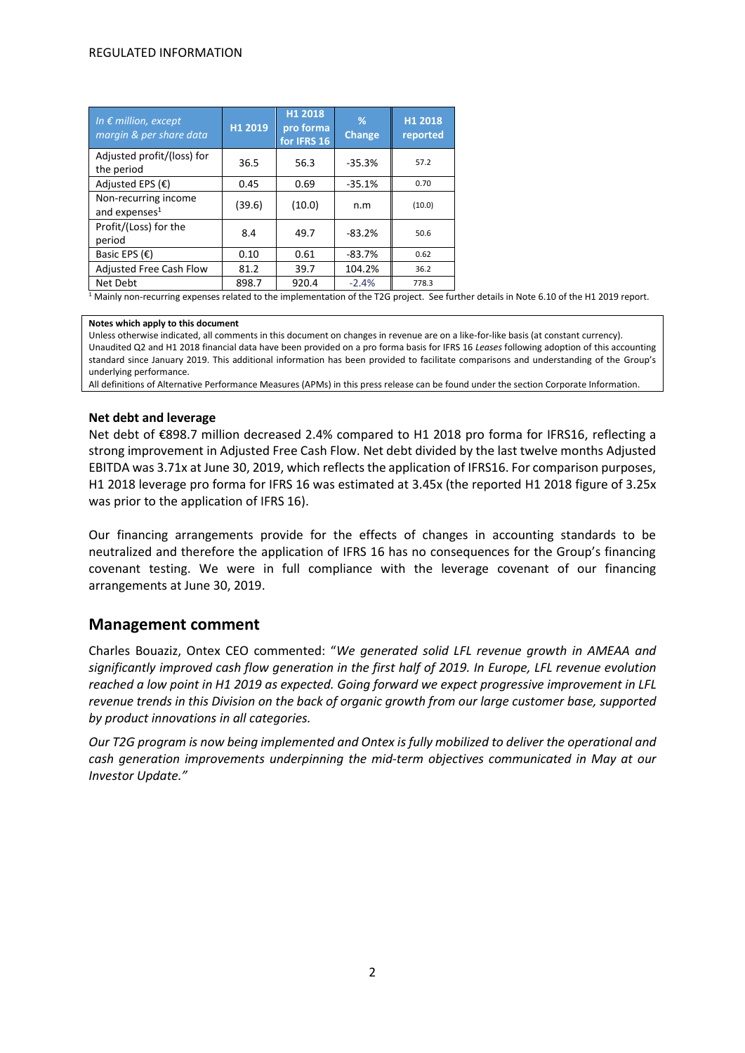| In $\epsilon$ million, except<br>margin & per share data | H1 2019 | H1 2018<br>pro forma<br>for IFRS 16 | %<br><b>Change</b> | H1 2018<br>reported |
|----------------------------------------------------------|---------|-------------------------------------|--------------------|---------------------|
| Adjusted profit/(loss) for<br>the period                 | 36.5    | 56.3                                | $-35.3%$           | 57.2                |
| Adjusted EPS $(E)$                                       | 0.45    | 0.69                                | $-35.1%$           | 0.70                |
| Non-recurring income<br>and expenses <sup>1</sup>        | (39.6)  | (10.0)                              | n.m                | (10.0)              |
| Profit/(Loss) for the<br>period                          | 8.4     | 49.7                                | $-83.2%$           | 50.6                |
| Basic EPS $(E)$                                          | 0.10    | 0.61                                | $-83.7%$           | 0.62                |
| <b>Adjusted Free Cash Flow</b>                           | 81.2    | 39.7                                | 104.2%             | 36.2                |
| Net Debt                                                 | 898.7   | 920.4                               | $-2.4%$            | 778.3               |

 $1$  Mainly non-recurring expenses related to the implementation of the T2G project. See further details in Note 6.10 of the H1 2019 report.

#### **Notes which apply to this document**

Unless otherwise indicated, all comments in this document on changes in revenue are on a like-for-like basis (at constant currency). Unaudited Q2 and H1 2018 financial data have been provided on a pro forma basis for IFRS 16 *Leases* following adoption of this accounting standard since January 2019. This additional information has been provided to facilitate comparisons and understanding of the Group's underlying performance.

All definitions of Alternative Performance Measures (APMs) in this press release can be found under the section Corporate Information.

### **Net debt and leverage**

Net debt of €898.7 million decreased 2.4% compared to H1 2018 pro forma for IFRS16, reflecting a strong improvement in Adjusted Free Cash Flow. Net debt divided by the last twelve months Adjusted EBITDA was 3.71x at June 30, 2019, which reflects the application of IFRS16. For comparison purposes, H1 2018 leverage pro forma for IFRS 16 was estimated at 3.45x (the reported H1 2018 figure of 3.25x was prior to the application of IFRS 16).

Our financing arrangements provide for the effects of changes in accounting standards to be neutralized and therefore the application of IFRS 16 has no consequences for the Group's financing covenant testing. We were in full compliance with the leverage covenant of our financing arrangements at June 30, 2019.

# **Management comment**

Charles Bouaziz, Ontex CEO commented: "*We generated solid LFL revenue growth in AMEAA and significantly improved cash flow generation in the first half of 2019. In Europe, LFL revenue evolution reached a low point in H1 2019 as expected. Going forward we expect progressive improvement in LFL revenue trends in this Division on the back of organic growth from our large customer base, supported by product innovations in all categories.* 

*Our T2G program is now being implemented and Ontex is fully mobilized to deliver the operational and cash generation improvements underpinning the mid-term objectives communicated in May at our Investor Update."*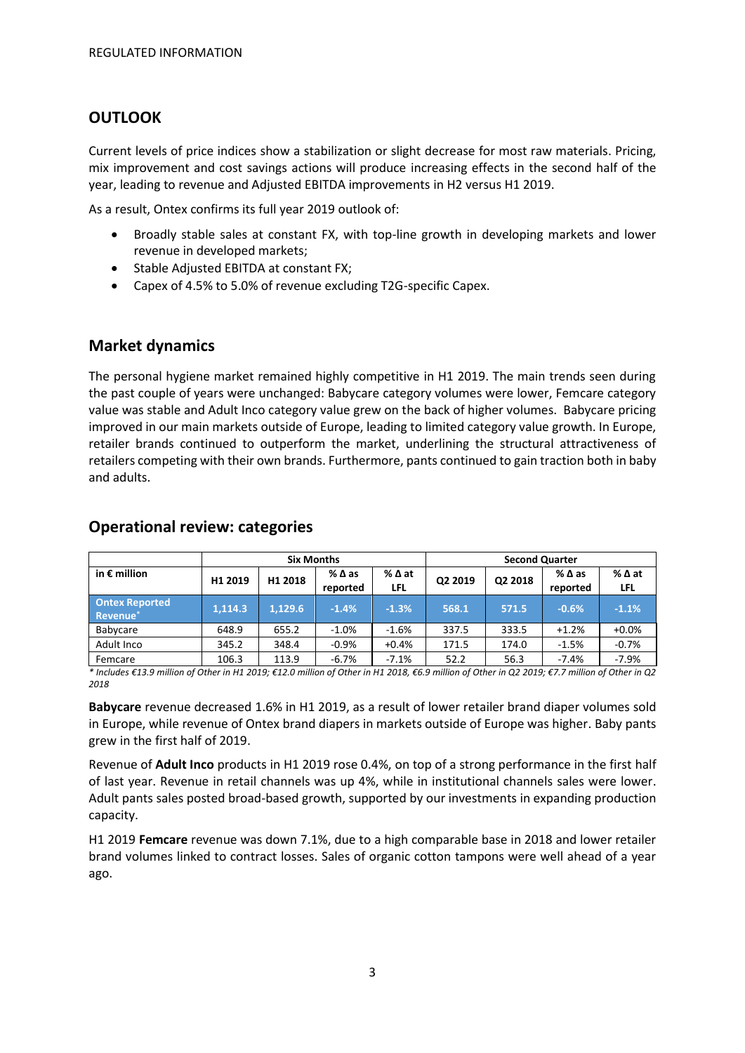# **OUTLOOK**

Current levels of price indices show a stabilization or slight decrease for most raw materials. Pricing, mix improvement and cost savings actions will produce increasing effects in the second half of the year, leading to revenue and Adjusted EBITDA improvements in H2 versus H1 2019.

As a result, Ontex confirms its full year 2019 outlook of:

- Broadly stable sales at constant FX, with top-line growth in developing markets and lower revenue in developed markets;
- Stable Adjusted EBITDA at constant FX;
- Capex of 4.5% to 5.0% of revenue excluding T2G-specific Capex.

# **Market dynamics**

The personal hygiene market remained highly competitive in H1 2019. The main trends seen during the past couple of years were unchanged: Babycare category volumes were lower, Femcare category value was stable and Adult Inco category value grew on the back of higher volumes. Babycare pricing improved in our main markets outside of Europe, leading to limited category value growth. In Europe, retailer brands continued to outperform the market, underlining the structural attractiveness of retailers competing with their own brands. Furthermore, pants continued to gain traction both in baby and adults.

|                                               | <b>Six Months</b>   |         |                                |               | <b>Second Quarter</b> |         |                  |                    |
|-----------------------------------------------|---------------------|---------|--------------------------------|---------------|-----------------------|---------|------------------|--------------------|
| in $\epsilon$ million                         | H <sub>1</sub> 2019 | H1 2018 | $%$ $\triangle$ as<br>reported | % ∆ at<br>LFL | Q2 2019               | Q2 2018 | %∆as<br>reported | %∆at<br><b>LFL</b> |
| <b>Ontex Reported</b><br>Revenue <sup>®</sup> | 1.114.3             | 1.129.6 | $-1.4%$                        | $-1.3%$       | 568.1                 | 571.5   | $-0.6%$          | $-1.1%$            |
| <b>Babycare</b>                               | 648.9               | 655.2   | $-1.0\%$                       | $-1.6%$       | 337.5                 | 333.5   | $+1.2%$          | $+0.0%$            |
| Adult Inco                                    | 345.2               | 348.4   | $-0.9%$                        | $+0.4%$       | 171.5                 | 174.0   | $-1.5%$          | $-0.7%$            |
| Femcare                                       | 106.3               | 113.9   | $-6.7%$                        | $-7.1%$       | 52.2                  | 56.3    | $-7.4%$          | $-7.9%$            |

# **Operational review: categories**

*\* Includes €13.9 million of Other in H1 2019; €12.0 million of Other in H1 2018, €6.9 million of Other in Q2 2019; €7.7 million of Other in Q2 2018*

**Babycare** revenue decreased 1.6% in H1 2019, as a result of lower retailer brand diaper volumes sold in Europe, while revenue of Ontex brand diapers in markets outside of Europe was higher. Baby pants grew in the first half of 2019.

Revenue of **Adult Inco** products in H1 2019 rose 0.4%, on top of a strong performance in the first half of last year. Revenue in retail channels was up 4%, while in institutional channels sales were lower. Adult pants sales posted broad-based growth, supported by our investments in expanding production capacity.

H1 2019 **Femcare** revenue was down 7.1%, due to a high comparable base in 2018 and lower retailer brand volumes linked to contract losses. Sales of organic cotton tampons were well ahead of a year ago.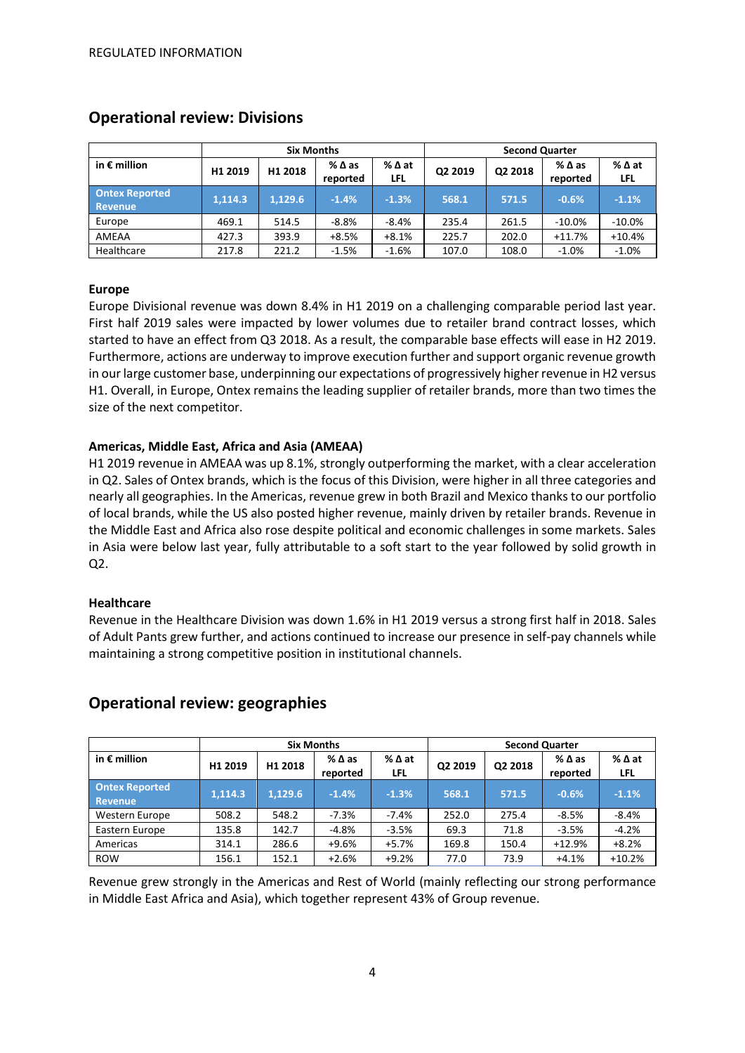|                                         |         | <b>Six Months</b> |                  |             | <b>Second Quarter</b> |         |                  |                      |
|-----------------------------------------|---------|-------------------|------------------|-------------|-----------------------|---------|------------------|----------------------|
| in $\epsilon$ million                   | H1 2019 | H1 2018           | %∆as<br>reported | %∆at<br>LFL | Q2 2019               | Q2 2018 | %∆as<br>reported | % ∆ at<br><b>LFL</b> |
| <b>Ontex Reported</b><br><b>Revenue</b> | 1.114.3 | 1.129.6           | $-1.4%$          | $-1.3%$     | 568.1                 | 571.5   | $-0.6%$          | $-1.1%$              |
| Europe                                  | 469.1   | 514.5             | $-8.8%$          | $-8.4%$     | 235.4                 | 261.5   | $-10.0\%$        | $-10.0%$             |
| AMEAA                                   | 427.3   | 393.9             | $+8.5%$          | $+8.1%$     | 225.7                 | 202.0   | $+11.7%$         | $+10.4%$             |
| Healthcare                              | 217.8   | 221.2             | $-1.5%$          | $-1.6%$     | 107.0                 | 108.0   | $-1.0%$          | $-1.0%$              |

# **Operational review: Divisions**

# **Europe**

Europe Divisional revenue was down 8.4% in H1 2019 on a challenging comparable period last year. First half 2019 sales were impacted by lower volumes due to retailer brand contract losses, which started to have an effect from Q3 2018. As a result, the comparable base effects will ease in H2 2019. Furthermore, actions are underway to improve execution further and support organic revenue growth in our large customer base, underpinning our expectations of progressively higher revenue in H2 versus H1. Overall, in Europe, Ontex remains the leading supplier of retailer brands, more than two times the size of the next competitor.

# **Americas, Middle East, Africa and Asia (AMEAA)**

H1 2019 revenue in AMEAA was up 8.1%, strongly outperforming the market, with a clear acceleration in Q2. Sales of Ontex brands, which is the focus of this Division, were higher in all three categories and nearly all geographies. In the Americas, revenue grew in both Brazil and Mexico thanks to our portfolio of local brands, while the US also posted higher revenue, mainly driven by retailer brands. Revenue in the Middle East and Africa also rose despite political and economic challenges in some markets. Sales in Asia were below last year, fully attributable to a soft start to the year followed by solid growth in Q2.

# **Healthcare**

Revenue in the Healthcare Division was down 1.6% in H1 2019 versus a strong first half in 2018. Sales of Adult Pants grew further, and actions continued to increase our presence in self-pay channels while maintaining a strong competitive position in institutional channels.

|                                  |         | <b>Six Months</b> |                                |                        |         | <b>Second Quarter</b> |                             |             |  |
|----------------------------------|---------|-------------------|--------------------------------|------------------------|---------|-----------------------|-----------------------------|-------------|--|
| in $\epsilon$ million            | H1 2019 | H1 2018           | $%$ $\triangle$ as<br>reported | $%$ $\Delta$ at<br>LFL | Q2 2019 | Q2 2018               | $%$ $\Delta$ as<br>reported | %∆at<br>LFL |  |
| <b>Ontex Reported</b><br>Revenue | 1,114.3 | 1,129.6           | $-1.4%$                        | $-1.3%$                | 568.1   | 571.5                 | $-0.6%$                     | $-1.1%$     |  |
| Western Europe                   | 508.2   | 548.2             | $-7.3%$                        | $-7.4%$                | 252.0   | 275.4                 | $-8.5%$                     | $-8.4%$     |  |
| Eastern Europe                   | 135.8   | 142.7             | -4.8%                          | $-3.5%$                | 69.3    | 71.8                  | $-3.5%$                     | $-4.2%$     |  |
| Americas                         | 314.1   | 286.6             | +9.6%                          | $+5.7%$                | 169.8   | 150.4                 | $+12.9%$                    | $+8.2%$     |  |
| <b>ROW</b>                       | 156.1   | 152.1             | $+2.6%$                        | $+9.2%$                | 77.0    | 73.9                  | $+4.1%$                     | $+10.2%$    |  |

# **Operational review: geographies**

Revenue grew strongly in the Americas and Rest of World (mainly reflecting our strong performance in Middle East Africa and Asia), which together represent 43% of Group revenue.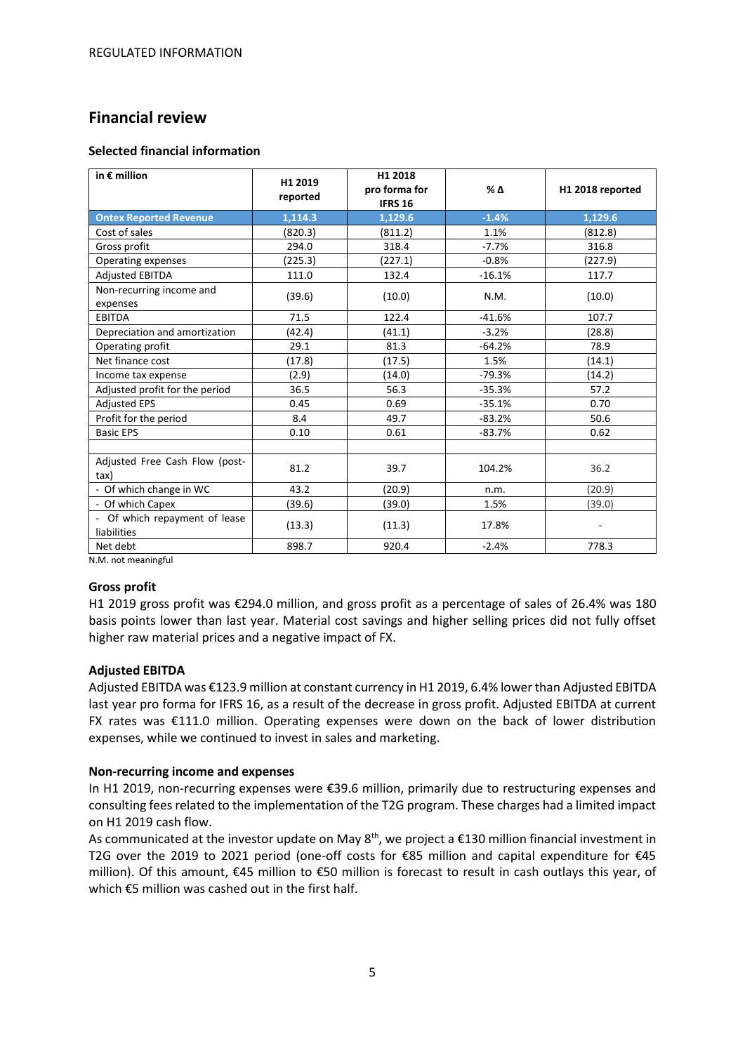# **Financial review**

# **Selected financial information**

| in $\epsilon$ million                        | H1 2019<br>reported | H1 2018<br>pro forma for<br><b>IFRS 16</b> | % Δ      | H1 2018 reported |
|----------------------------------------------|---------------------|--------------------------------------------|----------|------------------|
| <b>Ontex Reported Revenue</b>                | 1,114.3             | 1.129.6                                    | $-1.4%$  | 1,129.6          |
| Cost of sales                                | (820.3)             | (811.2)                                    | 1.1%     | (812.8)          |
| Gross profit                                 | 294.0               | 318.4                                      | $-7.7%$  | 316.8            |
| Operating expenses                           | (225.3)             | (227.1)                                    | $-0.8%$  | (227.9)          |
| <b>Adjusted EBITDA</b>                       | 111.0               | 132.4                                      | $-16.1%$ | 117.7            |
| Non-recurring income and<br>expenses         | (39.6)              | (10.0)                                     | N.M.     | (10.0)           |
| <b>EBITDA</b>                                | 71.5                | 122.4                                      | $-41.6%$ | 107.7            |
| Depreciation and amortization                | (42.4)              | (41.1)                                     | $-3.2%$  | (28.8)           |
| Operating profit                             | 29.1                | 81.3                                       | $-64.2%$ | 78.9             |
| Net finance cost                             | (17.8)              | (17.5)                                     | 1.5%     | (14.1)           |
| Income tax expense                           | (2.9)               | (14.0)                                     | $-79.3%$ | (14.2)           |
| Adjusted profit for the period               | 36.5                | 56.3                                       | $-35.3%$ | 57.2             |
| <b>Adjusted EPS</b>                          | 0.45                | 0.69                                       | $-35.1%$ | 0.70             |
| Profit for the period                        | 8.4                 | 49.7                                       | $-83.2%$ | 50.6             |
| <b>Basic EPS</b>                             | 0.10                | 0.61                                       | $-83.7%$ | 0.62             |
|                                              |                     |                                            |          |                  |
| Adjusted Free Cash Flow (post-<br>tax)       | 81.2                | 39.7                                       | 104.2%   | 36.2             |
| - Of which change in WC                      | 43.2                | (20.9)                                     | n.m.     | (20.9)           |
| - Of which Capex                             | (39.6)              | (39.0)                                     | 1.5%     | (39.0)           |
| - Of which repayment of lease<br>liabilities | (13.3)              | (11.3)                                     | 17.8%    |                  |
| Net debt                                     | 898.7               | 920.4                                      | $-2.4%$  | 778.3            |

N.M. not meaningful

# **Gross profit**

H1 2019 gross profit was €294.0 million, and gross profit as a percentage of sales of 26.4% was 180 basis points lower than last year. Material cost savings and higher selling prices did not fully offset higher raw material prices and a negative impact of FX.

# **Adjusted EBITDA**

Adjusted EBITDA was €123.9 million at constant currency in H1 2019, 6.4% lower than Adjusted EBITDA last year pro forma for IFRS 16, as a result of the decrease in gross profit. Adjusted EBITDA at current FX rates was €111.0 million. Operating expenses were down on the back of lower distribution expenses, while we continued to invest in sales and marketing.

# **Non-recurring income and expenses**

In H1 2019, non-recurring expenses were €39.6 million, primarily due to restructuring expenses and consulting fees related to the implementation of the T2G program. These charges had a limited impact on H1 2019 cash flow.

As communicated at the investor update on May  $8<sup>th</sup>$ , we project a  $£130$  million financial investment in T2G over the 2019 to 2021 period (one-off costs for €85 million and capital expenditure for €45 million). Of this amount, €45 million to €50 million is forecast to result in cash outlays this year, of which €5 million was cashed out in the first half.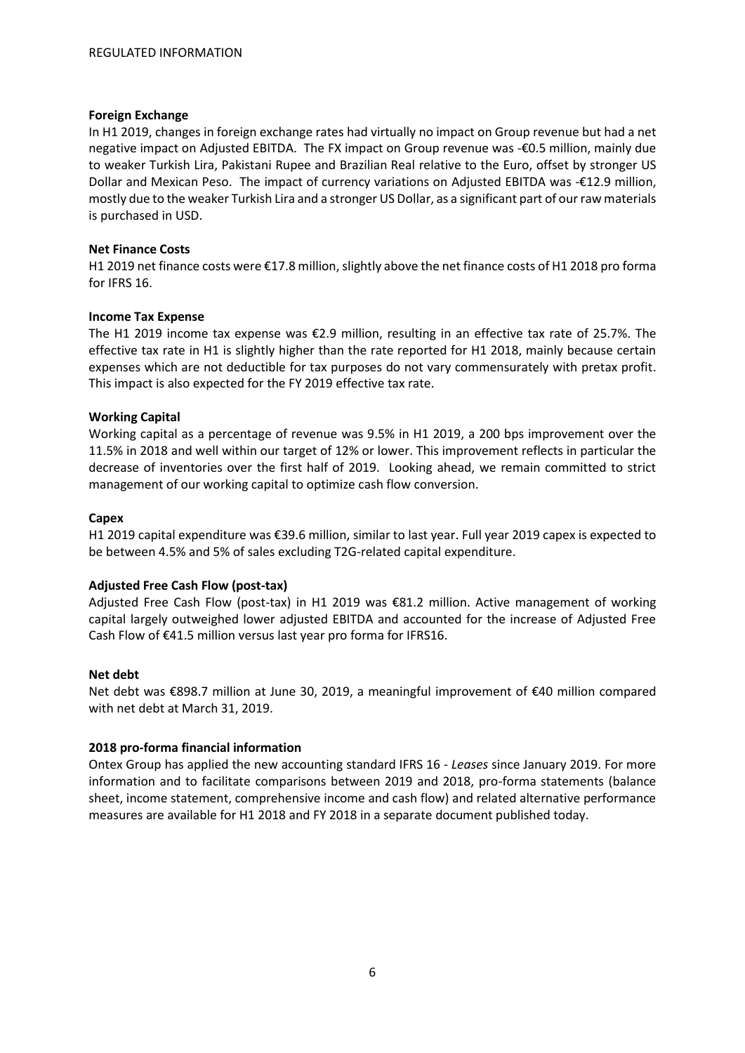# **Foreign Exchange**

In H1 2019, changes in foreign exchange rates had virtually no impact on Group revenue but had a net negative impact on Adjusted EBITDA. The FX impact on Group revenue was -€0.5 million, mainly due to weaker Turkish Lira, Pakistani Rupee and Brazilian Real relative to the Euro, offset by stronger US Dollar and Mexican Peso. The impact of currency variations on Adjusted EBITDA was -€12.9 million, mostly due to the weaker Turkish Lira and a stronger US Dollar, as a significant part of ourraw materials is purchased in USD.

# **Net Finance Costs**

H1 2019 net finance costs were €17.8 million, slightly above the net finance costs of H1 2018 pro forma for IFRS 16.

# **Income Tax Expense**

The H1 2019 income tax expense was €2.9 million, resulting in an effective tax rate of 25.7%. The effective tax rate in H1 is slightly higher than the rate reported for H1 2018, mainly because certain expenses which are not deductible for tax purposes do not vary commensurately with pretax profit. This impact is also expected for the FY 2019 effective tax rate.

# **Working Capital**

Working capital as a percentage of revenue was 9.5% in H1 2019, a 200 bps improvement over the 11.5% in 2018 and well within our target of 12% or lower. This improvement reflects in particular the decrease of inventories over the first half of 2019. Looking ahead, we remain committed to strict management of our working capital to optimize cash flow conversion.

# **Capex**

H1 2019 capital expenditure was €39.6 million, similar to last year. Full year 2019 capex is expected to be between 4.5% and 5% of sales excluding T2G-related capital expenditure.

# **Adjusted Free Cash Flow (post-tax)**

Adjusted Free Cash Flow (post-tax) in H1 2019 was €81.2 million. Active management of working capital largely outweighed lower adjusted EBITDA and accounted for the increase of Adjusted Free Cash Flow of €41.5 million versus last year pro forma for IFRS16.

# **Net debt**

Net debt was €898.7 million at June 30, 2019, a meaningful improvement of €40 million compared with net debt at March 31, 2019.

# **2018 pro-forma financial information**

Ontex Group has applied the new accounting standard IFRS 16 - *Leases* since January 2019. For more information and to facilitate comparisons between 2019 and 2018, pro-forma statements (balance sheet, income statement, comprehensive income and cash flow) and related alternative performance measures are available for H1 2018 and FY 2018 in a separate document published today.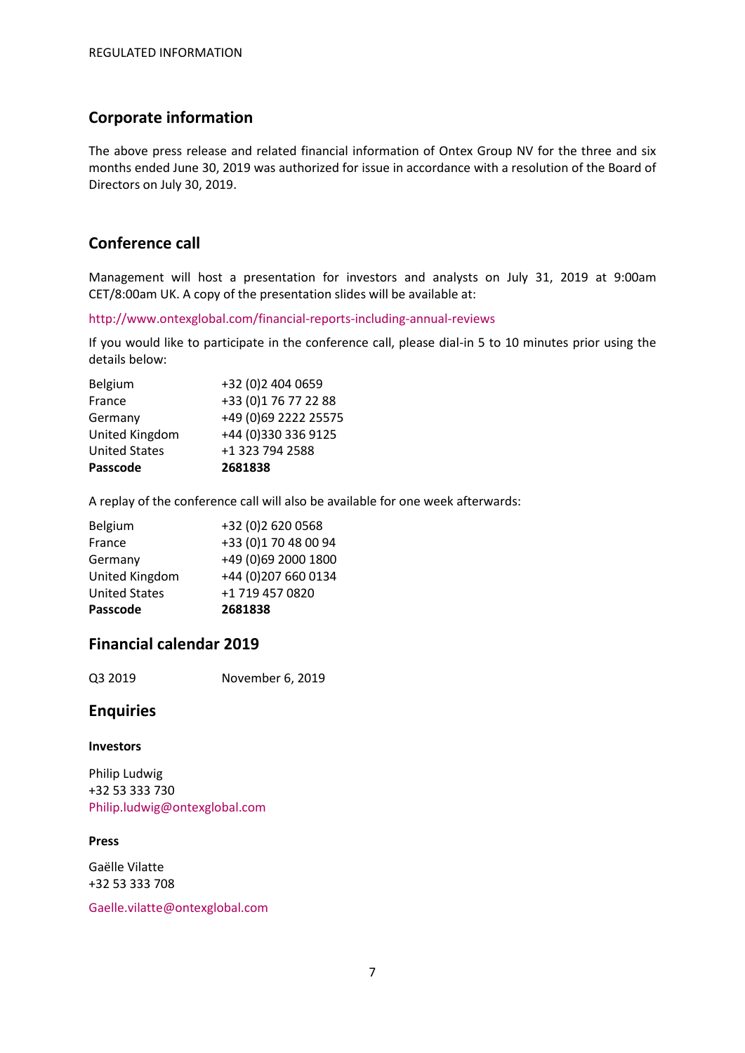# **Corporate information**

The above press release and related financial information of Ontex Group NV for the three and six months ended June 30, 2019 was authorized for issue in accordance with a resolution of the Board of Directors on July 30, 2019.

# **Conference call**

Management will host a presentation for investors and analysts on July 31, 2019 at 9:00am CET/8:00am UK. A copy of the presentation slides will be available at:

http://www.ontexglobal.com/financial-reports-including-annual-reviews

If you would like to participate in the conference call, please dial-in 5 to 10 minutes prior using the details below:

| Passcode             | 2681838              |
|----------------------|----------------------|
| <b>United States</b> | +1 323 794 2588      |
| United Kingdom       | +44 (0)330 336 9125  |
| Germany              | +49 (0)69 2222 25575 |
| France               | +33 (0)1 76 77 22 88 |
| Belgium              | +32 (0)2 404 0659    |

A replay of the conference call will also be available for one week afterwards:

| Passcode             | 2681838              |
|----------------------|----------------------|
| <b>United States</b> | +1 719 457 0820      |
| United Kingdom       | +44 (0)207 660 0134  |
| Germany              | +49 (0)69 2000 1800  |
| France               | +33 (0)1 70 48 00 94 |
| Belgium              | +32 (0)2 620 0568    |

# **Financial calendar 2019**

Q3 2019 November 6, 2019

# **Enquiries**

# **Investors**

Philip Ludwig +32 53 333 730 Philip.ludwig@ontexglobal.com

# **Press**

Gaëlle Vilatte +32 53 333 708

Gaelle.vilatte@ontexglobal.com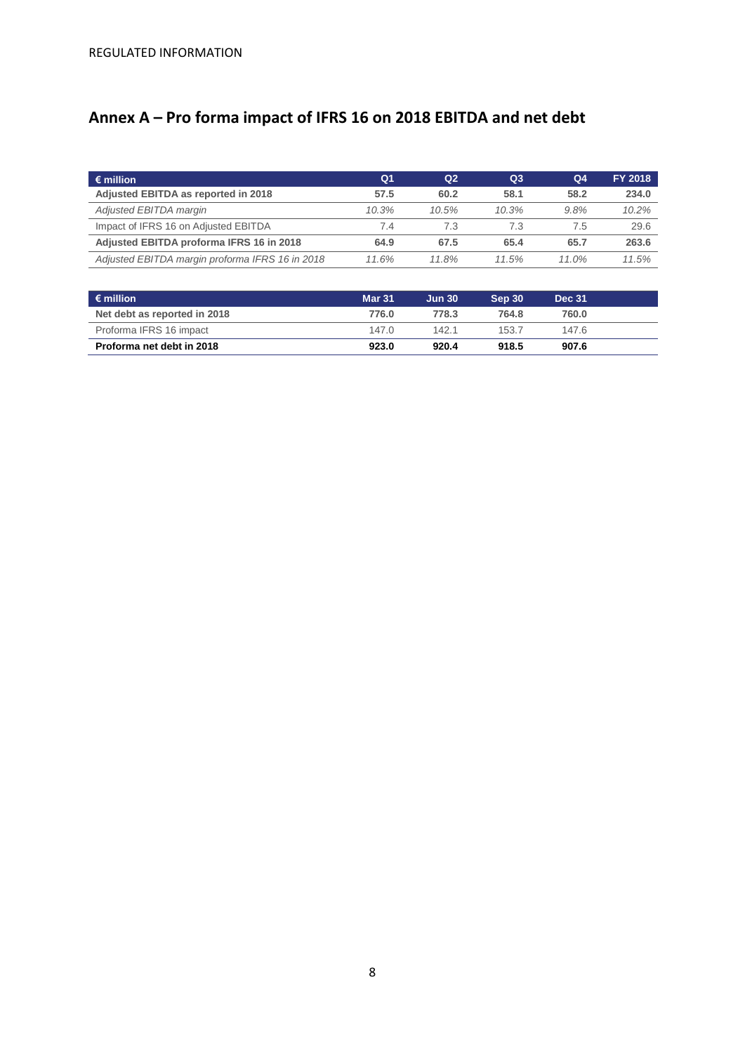# **Annex A – Pro forma impact of IFRS 16 on 2018 EBITDA and net debt**

| $\epsilon$ million                              | Q <sub>1</sub> | Q <sub>2</sub> | Q <sub>3</sub> | Q <sub>4</sub> | FY 2018 |
|-------------------------------------------------|----------------|----------------|----------------|----------------|---------|
| Adjusted EBITDA as reported in 2018             | 57.5           | 60.2           | 58.1           | 58.2           | 234.0   |
| Adjusted EBITDA margin                          | 10.3%          | 10.5%          | 10.3%          | 9.8%           | 10.2%   |
| Impact of IFRS 16 on Adjusted EBITDA            | 7.4            | 7.3            | 7.3            | 7.5            | 29.6    |
| Adjusted EBITDA proforma IFRS 16 in 2018        | 64.9           | 67.5           | 65.4           | 65.7           | 263.6   |
| Adjusted EBITDA margin proforma IFRS 16 in 2018 | 11.6%          | 11.8%          | 11.5%          | 11.0%          | 11.5%   |

| $\epsilon$ million           | <b>Mar 31</b> | <b>Jun 30</b> | Sep 30 | <b>Dec 31</b> |  |
|------------------------------|---------------|---------------|--------|---------------|--|
| Net debt as reported in 2018 | 776.0         | 778.3         | 764.8  | 760.0         |  |
| Proforma IFRS 16 impact      | 147.0         | 142.1         | 153.7  | 147.6         |  |
| Proforma net debt in 2018    | 923.0         | 920.4         | 918.5  | 907.6         |  |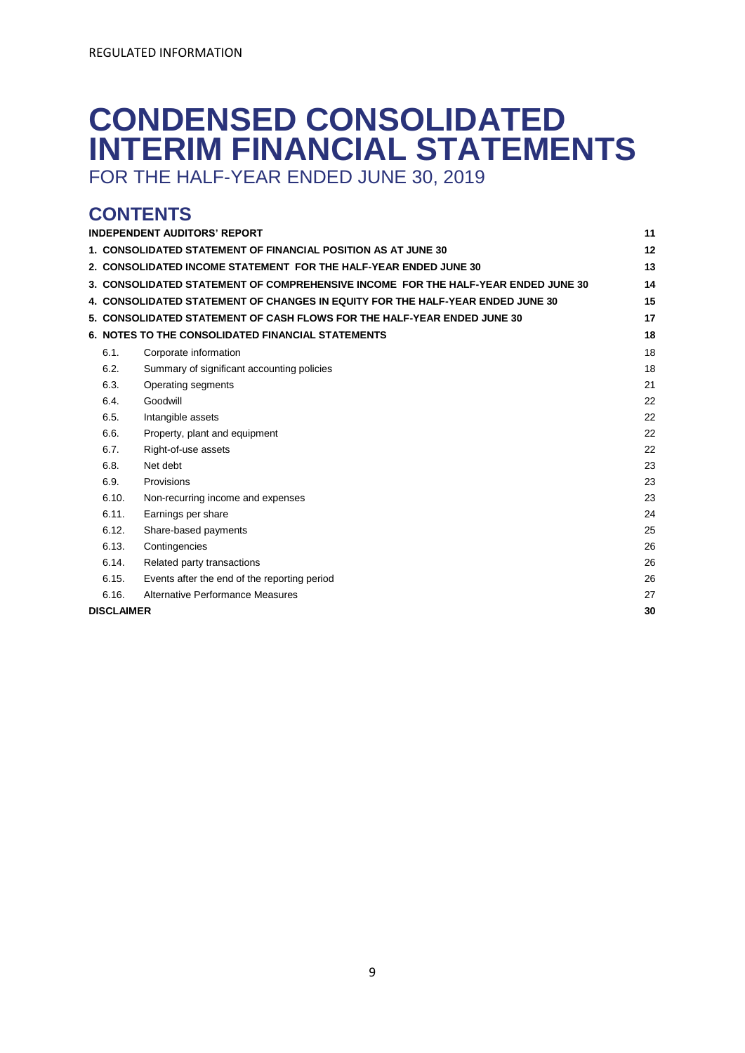# **CONDENSED CONSOLIDATED INTERIM FINANCIAL STATEMENTS**

FOR THE HALF-YEAR ENDED JUNE 30, 2019

# **CONTENTS**

|                                                                                         | <b>INDEPENDENT AUDITORS' REPORT</b>                                            | 11 |  |  |  |  |  |
|-----------------------------------------------------------------------------------------|--------------------------------------------------------------------------------|----|--|--|--|--|--|
| 12<br>1. CONSOLIDATED STATEMENT OF FINANCIAL POSITION AS AT JUNE 30                     |                                                                                |    |  |  |  |  |  |
| 13<br>2. CONSOLIDATED INCOME STATEMENT FOR THE HALF-YEAR ENDED JUNE 30                  |                                                                                |    |  |  |  |  |  |
| 3. CONSOLIDATED STATEMENT OF COMPREHENSIVE INCOME FOR THE HALF-YEAR ENDED JUNE 30<br>14 |                                                                                |    |  |  |  |  |  |
|                                                                                         | 4. CONSOLIDATED STATEMENT OF CHANGES IN EQUITY FOR THE HALF-YEAR ENDED JUNE 30 | 15 |  |  |  |  |  |
|                                                                                         | 5. CONSOLIDATED STATEMENT OF CASH FLOWS FOR THE HALF-YEAR ENDED JUNE 30        | 17 |  |  |  |  |  |
|                                                                                         | <b>6. NOTES TO THE CONSOLIDATED FINANCIAL STATEMENTS</b>                       | 18 |  |  |  |  |  |
| 6.1.                                                                                    | Corporate information                                                          | 18 |  |  |  |  |  |
| 6.2.                                                                                    | Summary of significant accounting policies                                     | 18 |  |  |  |  |  |
| 6.3.                                                                                    | Operating segments                                                             | 21 |  |  |  |  |  |
| 6.4.                                                                                    | Goodwill                                                                       | 22 |  |  |  |  |  |
| 6.5.                                                                                    | Intangible assets                                                              | 22 |  |  |  |  |  |
| 6.6.                                                                                    | Property, plant and equipment                                                  | 22 |  |  |  |  |  |
| 6.7.                                                                                    | Right-of-use assets                                                            | 22 |  |  |  |  |  |
| 6.8.                                                                                    | Net debt                                                                       | 23 |  |  |  |  |  |
| 6.9.                                                                                    | Provisions                                                                     | 23 |  |  |  |  |  |
| 6.10.                                                                                   | Non-recurring income and expenses                                              | 23 |  |  |  |  |  |
| 6.11.                                                                                   | Earnings per share                                                             | 24 |  |  |  |  |  |
| 6.12.                                                                                   | Share-based payments                                                           | 25 |  |  |  |  |  |
| 6.13.                                                                                   | Contingencies                                                                  | 26 |  |  |  |  |  |
| 6.14.                                                                                   | Related party transactions                                                     | 26 |  |  |  |  |  |
| 6.15.                                                                                   | Events after the end of the reporting period                                   | 26 |  |  |  |  |  |
| 6.16.                                                                                   | Alternative Performance Measures                                               | 27 |  |  |  |  |  |
| <b>DISCLAIMER</b><br>30                                                                 |                                                                                |    |  |  |  |  |  |
|                                                                                         |                                                                                |    |  |  |  |  |  |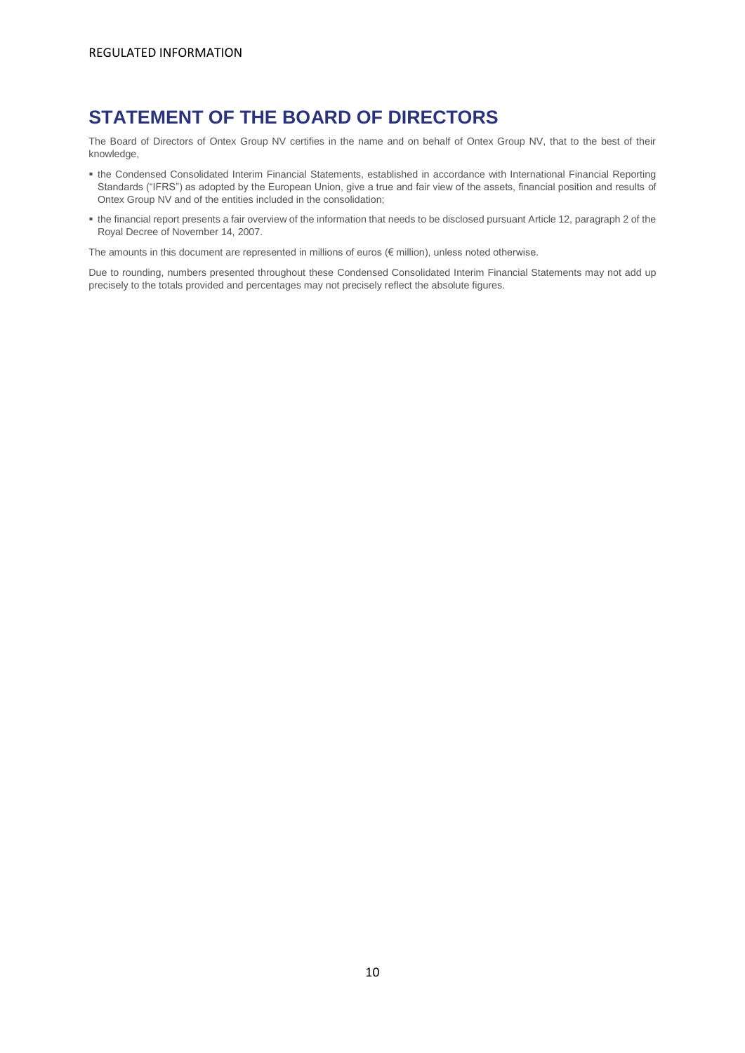# **STATEMENT OF THE BOARD OF DIRECTORS**

The Board of Directors of Ontex Group NV certifies in the name and on behalf of Ontex Group NV, that to the best of their knowledge,

- the Condensed Consolidated Interim Financial Statements, established in accordance with International Financial Reporting Standards ("IFRS") as adopted by the European Union, give a true and fair view of the assets, financial position and results of Ontex Group NV and of the entities included in the consolidation;
- the financial report presents a fair overview of the information that needs to be disclosed pursuant Article 12, paragraph 2 of the Royal Decree of November 14, 2007.

The amounts in this document are represented in millions of euros ( $\notin$  million), unless noted otherwise.

Due to rounding, numbers presented throughout these Condensed Consolidated Interim Financial Statements may not add up precisely to the totals provided and percentages may not precisely reflect the absolute figures.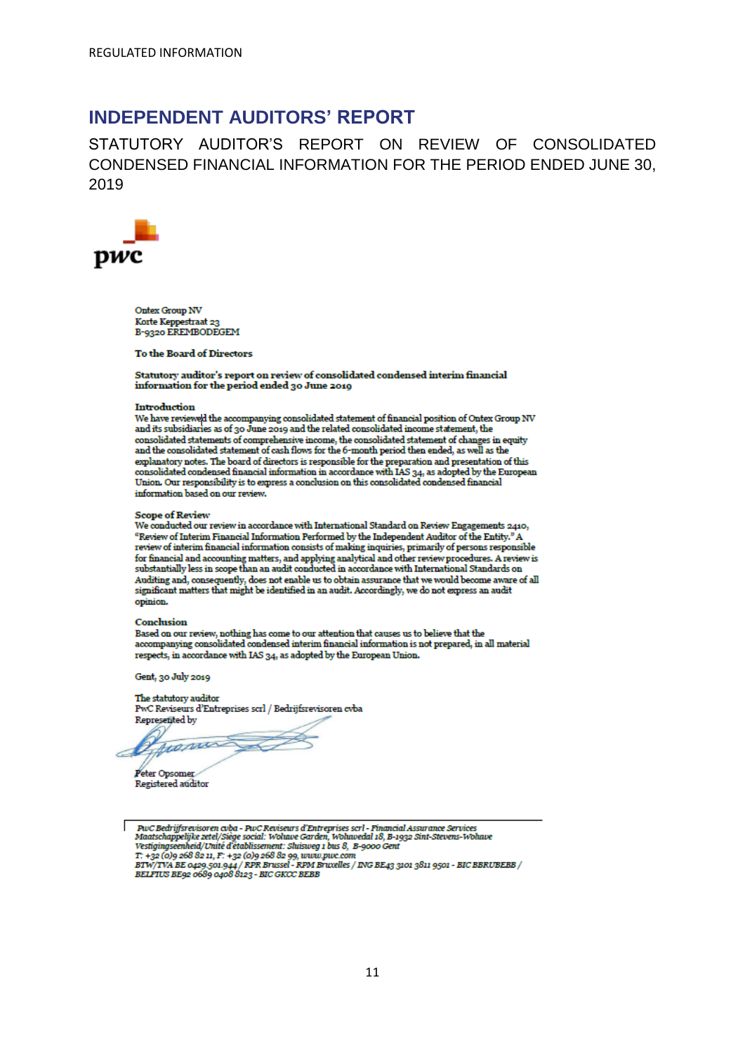# <span id="page-10-0"></span>**INDEPENDENT AUDITORS' REPORT**

STATUTORY AUDITOR'S REPORT ON REVIEW OF CONSOLIDATED CONDENSED FINANCIAL INFORMATION FOR THE PERIOD ENDED JUNE 30, 2019



**Ontex Group NV** Korte Keppestraat 23<br>B-9320 EREMBODEGEM

**To the Board of Directors** 

Statutory auditor's report on review of consolidated condensed interim financial information for the period ended 30 June 2019

#### Introduction

We have reviewed the accompanying consolidated statement of financial position of Ontex Group NV and its subsidiaries as of 30 June 2019 and the related consolidated income statement, the consolidated statements of comprehensive income, the consolidated statement of changes in equity and the consolidated statement of eash flows for the 6-month period then ended, as well as the explanatory notes. The board of directors is responsible for the preparation and presentation of this consolidated condensed financial information in accordance with IAS 34, as adopted by the European Union. Our responsibility is to express a conclusion on this consolidated condensed financial information based on our review.

#### **Scope of Review**

We conducted our review in accordance with International Standard on Review Engagements 2410, "Review of Interim Financial Information Performed by the Independent Auditor of the Entity." A review of interim financial information consists of making inquiries, primarily of persons responsible for financial and accounting matters, and applying analytical and other review procedures. A review is substantially less in scope than an audit conducted in accordance with International Standards on Auditing and, consequently, does not enable us to obtain assurance that we would become aware of all significant matters that might be identified in an audit. Accordingly, we do not express an audit opinion.

#### **Conclusion**

Based on our review, nothing has come to our attention that causes us to believe that the accompanying consolidated condensed interim financial information is not prepared, in all material respects, in accordance with IAS 34, as adopted by the European Union.

Gent, 30 July 2019

The statutory auditor PwC Reviseurs d'Entreprises scrl / Bedrijfsrevisoren cvba Represented by

Jeannes

Peter Opsomer Registered auditor

PuC Bedrijfsrevisoren cvba - PuC Reviseurs d'Entreprises scrl - Financial Assurance Services<br>Maatschappelijke zetel/Siège social: Wohave Garden, Wohavedal 18, B-1932 Sint-Stevens-Wohave<br>Vestigingseenheid/Unité d'établissem T: +32 (0)9 268 82 11, F: +32 (0)9 268 82 99, www.pwc.com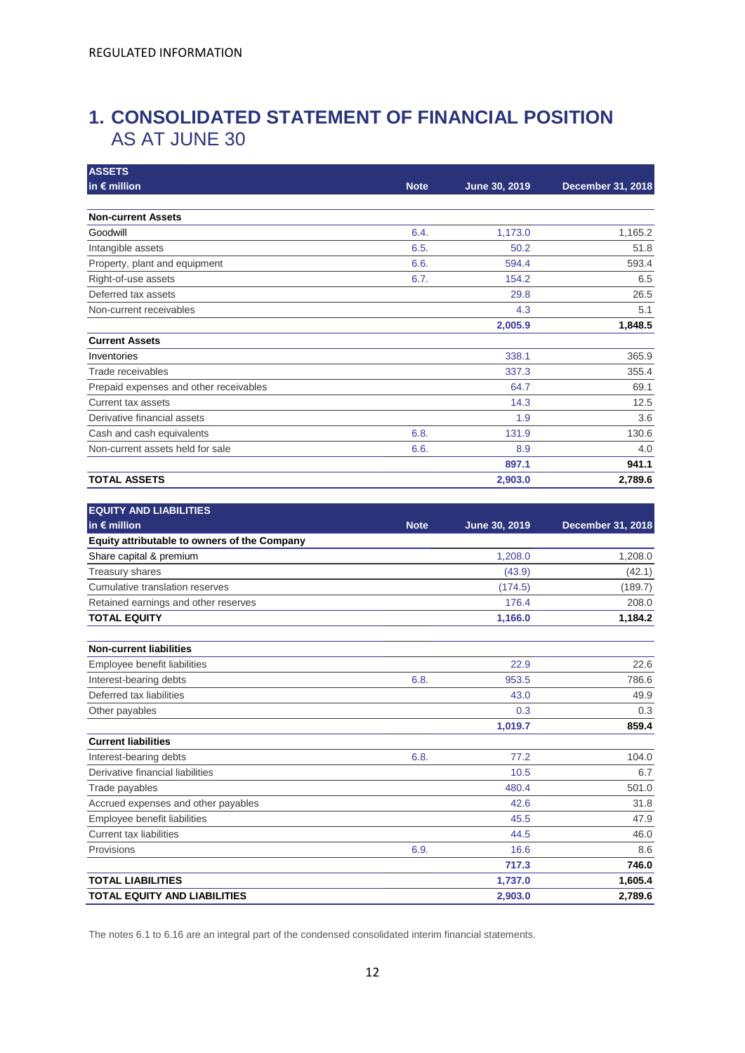# <span id="page-11-0"></span>**1. CONSOLIDATED STATEMENT OF FINANCIAL POSITION** AS AT JUNE 30

| <b>ASSETS</b>                                |             |               |                          |
|----------------------------------------------|-------------|---------------|--------------------------|
| in $\epsilon$ million                        | <b>Note</b> | June 30, 2019 | <b>December 31, 2018</b> |
| <b>Non-current Assets</b>                    |             |               |                          |
| Goodwill                                     | 6.4.        | 1,173.0       | 1,165.2                  |
| Intangible assets                            | 6.5.        | 50.2          | 51.8                     |
| Property, plant and equipment                | 6.6.        | 594.4         | 593.4                    |
| Right-of-use assets                          | 6.7.        | 154.2         | 6.5                      |
| Deferred tax assets                          |             | 29.8          | 26.5                     |
| Non-current receivables                      |             | 4.3           | 5.1                      |
|                                              |             | 2,005.9       | 1,848.5                  |
| <b>Current Assets</b>                        |             |               |                          |
| Inventories                                  |             | 338.1         | 365.9                    |
| Trade receivables                            |             | 337.3         | 355.4                    |
| Prepaid expenses and other receivables       |             | 64.7          | 69.1                     |
| Current tax assets                           |             | 14.3          | 12.5                     |
| Derivative financial assets                  |             | 1.9           | 3.6                      |
| Cash and cash equivalents                    | 6.8.        | 131.9         | 130.6                    |
| Non-current assets held for sale             | 6.6.        | 8.9           | 4.0                      |
|                                              |             | 897.1         | 941.1                    |
| <b>TOTAL ASSETS</b>                          |             | 2,903.0       | 2,789.6                  |
| <b>EQUITY AND LIABILITIES</b>                |             |               |                          |
| in $\epsilon$ million                        | <b>Note</b> | June 30, 2019 | December 31, 2018        |
| Equity attributable to owners of the Company |             |               |                          |
| Share capital & premium                      |             | 1,208.0       | 1,208.0                  |
| Treasury shares                              |             | (43.9)        | (42.1)                   |
| Cumulative translation reserves              |             | (174.5)       | (189.7)                  |
| Retained earnings and other reserves         |             | 176.4         | 208.0                    |
| <b>TOTAL EQUITY</b>                          |             | 1,166.0       | 1,184.2                  |
| <b>Non-current liabilities</b>               |             |               |                          |
| Employee benefit liabilities                 |             | 22.9          | 22.6                     |
| Interest-bearing debts                       | 6.8.        | 953.5         | 786.6                    |
| Deferred tax liabilities                     |             | 43.0          | 49.9                     |
| Other payables                               |             | 0.3           | 0.3                      |
|                                              |             | 1,019.7       | 859.4                    |
| <b>Current liabilities</b>                   |             |               |                          |
| Interest-bearing debts                       | 6.8.        | 77.2          | 104.0                    |
| Derivative financial liabilities             |             | 10.5          | 6.7                      |
| Trade payables                               |             | 480.4         | 501.0                    |
| Accrued expenses and other payables          |             | 42.6          | 31.8                     |
| Employee benefit liabilities                 |             | 45.5          | 47.9                     |
| <b>Current tax liabilities</b>               |             | 44.5          | 46.0                     |
| Provisions                                   | 6.9.        | 16.6          | 8.6                      |
|                                              |             | 717.3         | 746.0                    |
| <b>TOTAL LIABILITIES</b>                     |             | 1,737.0       | 1,605.4                  |
| TOTAL EQUITY AND LIABILITIES                 |             | 2,903.0       | 2,789.6                  |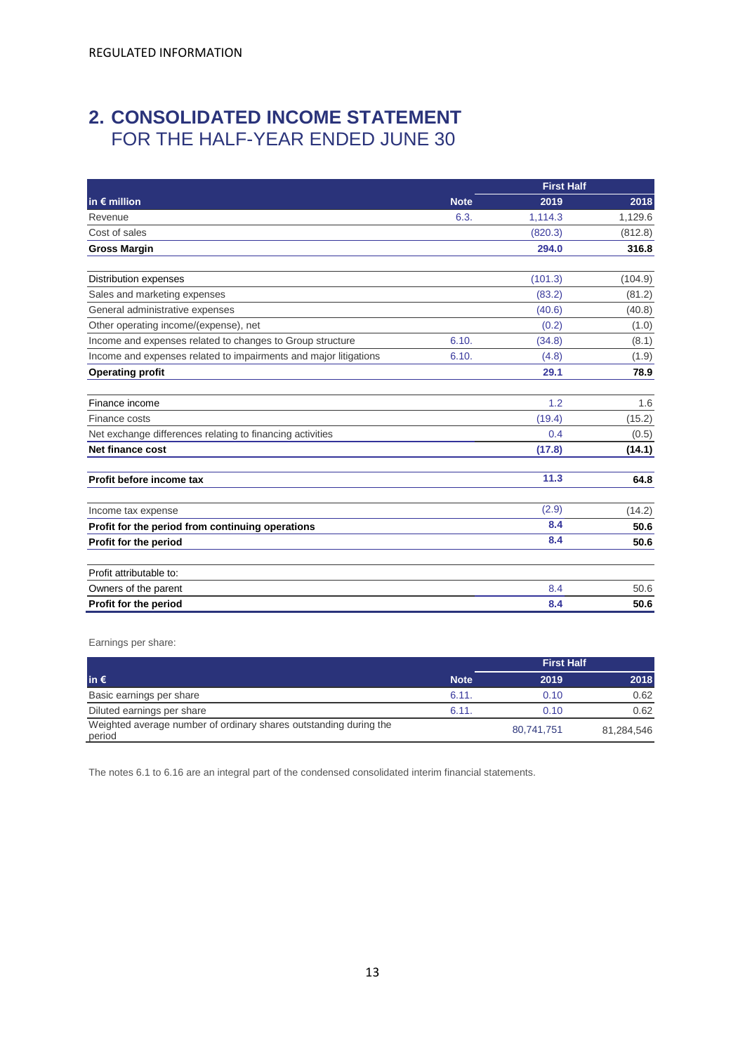# <span id="page-12-0"></span>**2. CONSOLIDATED INCOME STATEMENT**  FOR THE HALF-YEAR ENDED JUNE 30

|                                                                  |             | <b>First Half</b> |         |
|------------------------------------------------------------------|-------------|-------------------|---------|
| in $\epsilon$ million                                            | <b>Note</b> | 2019              | 2018    |
| Revenue                                                          | 6.3.        | 1,114.3           | 1,129.6 |
| Cost of sales                                                    |             | (820.3)           | (812.8) |
| <b>Gross Margin</b>                                              |             | 294.0             | 316.8   |
| Distribution expenses                                            |             | (101.3)           | (104.9) |
| Sales and marketing expenses                                     |             | (83.2)            | (81.2)  |
| General administrative expenses                                  |             | (40.6)            | (40.8)  |
| Other operating income/(expense), net                            |             | (0.2)             | (1.0)   |
| Income and expenses related to changes to Group structure        | 6.10.       | (34.8)            | (8.1)   |
| Income and expenses related to impairments and major litigations | 6.10.       | (4.8)             | (1.9)   |
| <b>Operating profit</b>                                          |             | 29.1              | 78.9    |
| Finance income                                                   |             | 1.2               | 1.6     |
| Finance costs                                                    |             | (19.4)            | (15.2)  |
| Net exchange differences relating to financing activities        |             | 0.4               | (0.5)   |
| Net finance cost                                                 |             | (17.8)            | (14.1)  |
| Profit before income tax                                         |             | 11.3              | 64.8    |
| Income tax expense                                               |             | (2.9)             | (14.2)  |
| Profit for the period from continuing operations                 |             | 8.4               | 50.6    |
| Profit for the period                                            |             | 8.4               | 50.6    |
| Profit attributable to:                                          |             |                   |         |
| Owners of the parent                                             |             | 8.4               | 50.6    |
| Profit for the period                                            |             | 8.4               | 50.6    |

Earnings per share:

|                                                                             |             | <b>First Half</b> |            |
|-----------------------------------------------------------------------------|-------------|-------------------|------------|
| lin €                                                                       | <b>Note</b> | 2019              | 2018       |
| Basic earnings per share                                                    | 6.11.       | 0.10              | 0.62       |
| Diluted earnings per share                                                  | 6.11        | 0.10              | 0.62       |
| Weighted average number of ordinary shares outstanding during the<br>period |             | 80.741.751        | 81,284,546 |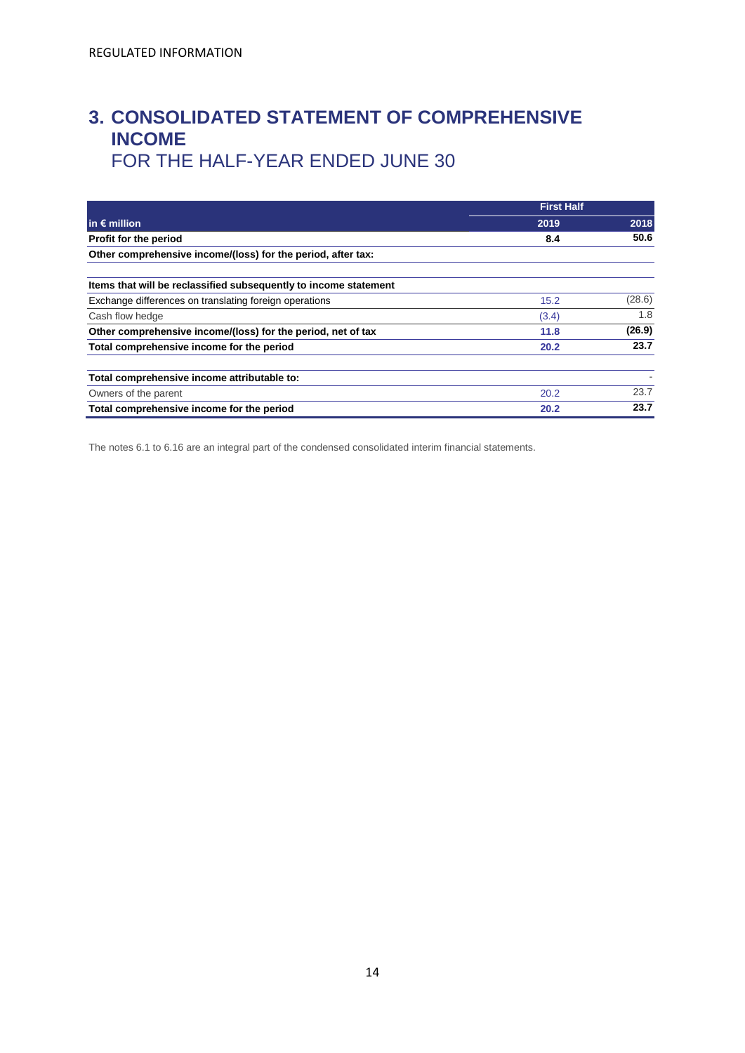# <span id="page-13-0"></span>**3. CONSOLIDATED STATEMENT OF COMPREHENSIVE INCOME**  FOR THE HALF-YEAR ENDED JUNE 30

|                                                                  | <b>First Half</b> |        |  |
|------------------------------------------------------------------|-------------------|--------|--|
| in $\epsilon$ million                                            | 2019              | 2018   |  |
| Profit for the period                                            | 8.4               | 50.6   |  |
| Other comprehensive income/(loss) for the period, after tax:     |                   |        |  |
| Items that will be reclassified subsequently to income statement |                   |        |  |
| Exchange differences on translating foreign operations           | 15.2              | (28.6) |  |
| Cash flow hedge                                                  | (3.4)             | 1.8    |  |
| Other comprehensive income/(loss) for the period, net of tax     | 11.8              | (26.9) |  |
| Total comprehensive income for the period                        | 20.2              | 23.7   |  |
| Total comprehensive income attributable to:                      |                   |        |  |
| Owners of the parent                                             | 20.2              | 23.7   |  |
| Total comprehensive income for the period                        | 20.2              | 23.7   |  |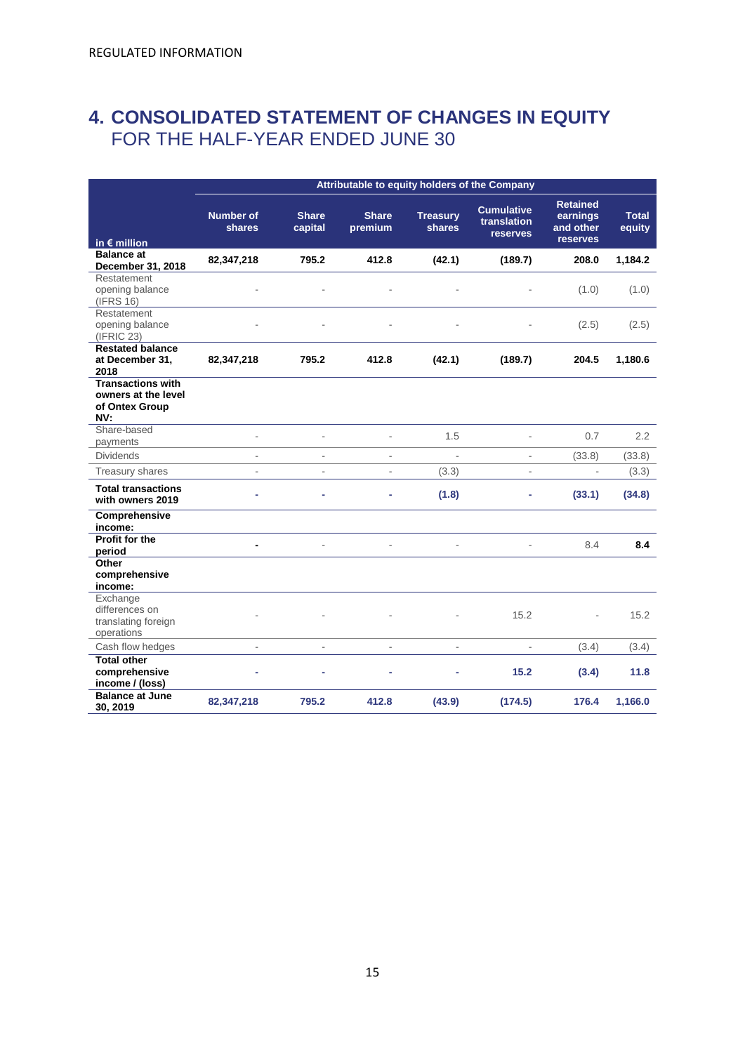# <span id="page-14-0"></span>**4. CONSOLIDATED STATEMENT OF CHANGES IN EQUITY** FOR THE HALF-YEAR ENDED JUNE 30

|                                                                          |                            | Attributable to equity holders of the Company |                         |                                  |                                                     |                                                      |                        |
|--------------------------------------------------------------------------|----------------------------|-----------------------------------------------|-------------------------|----------------------------------|-----------------------------------------------------|------------------------------------------------------|------------------------|
| in $\epsilon$ million                                                    | <b>Number of</b><br>shares | <b>Share</b><br>capital                       | <b>Share</b><br>premium | <b>Treasury</b><br><b>shares</b> | <b>Cumulative</b><br>translation<br><b>reserves</b> | <b>Retained</b><br>earnings<br>and other<br>reserves | <b>Total</b><br>equity |
| <b>Balance at</b><br>December 31, 2018                                   | 82,347,218                 | 795.2                                         | 412.8                   | (42.1)                           | (189.7)                                             | 208.0                                                | 1,184.2                |
| Restatement<br>opening balance<br>(IFRS 16)                              |                            |                                               |                         |                                  |                                                     | (1.0)                                                | (1.0)                  |
| Restatement<br>opening balance<br>(IFRIC 23)                             |                            |                                               |                         |                                  |                                                     | (2.5)                                                | (2.5)                  |
| <b>Restated balance</b><br>at December 31,<br>2018                       | 82,347,218                 | 795.2                                         | 412.8                   | (42.1)                           | (189.7)                                             | 204.5                                                | 1,180.6                |
| <b>Transactions with</b><br>owners at the level<br>of Ontex Group<br>NV: |                            |                                               |                         |                                  |                                                     |                                                      |                        |
| Share-based<br>payments                                                  | L,                         | L.                                            |                         | 1.5                              | $\overline{a}$                                      | 0.7                                                  | 2.2                    |
| <b>Dividends</b>                                                         | L.                         | ä,                                            |                         | $\mathbf{r}$                     | $\overline{\phantom{a}}$                            | (33.8)                                               | (33.8)                 |
| Treasury shares                                                          | ä,                         | ÷,                                            | ä,                      | (3.3)                            | $\blacksquare$                                      | $\overline{\phantom{a}}$                             | (3.3)                  |
| <b>Total transactions</b><br>with owners 2019                            | L.                         | L,                                            | ٠                       | (1.8)                            | ٠                                                   | (33.1)                                               | (34.8)                 |
| Comprehensive<br>income:                                                 |                            |                                               |                         |                                  |                                                     |                                                      |                        |
| Profit for the<br>period                                                 |                            |                                               |                         |                                  |                                                     | 8.4                                                  | 8.4                    |
| Other<br>comprehensive<br>income:                                        |                            |                                               |                         |                                  |                                                     |                                                      |                        |
| Exchange<br>differences on<br>translating foreign<br>operations          |                            |                                               |                         |                                  | 15.2                                                |                                                      | 15.2                   |
| Cash flow hedges                                                         | ä,                         | L.                                            |                         | ÷.                               |                                                     | (3.4)                                                | (3.4)                  |
| <b>Total other</b><br>comprehensive<br>income / (loss)                   |                            |                                               |                         |                                  | 15.2                                                | (3.4)                                                | 11.8                   |
| <b>Balance at June</b><br>30, 2019                                       | 82,347,218                 | 795.2                                         | 412.8                   | (43.9)                           | (174.5)                                             | 176.4                                                | 1,166.0                |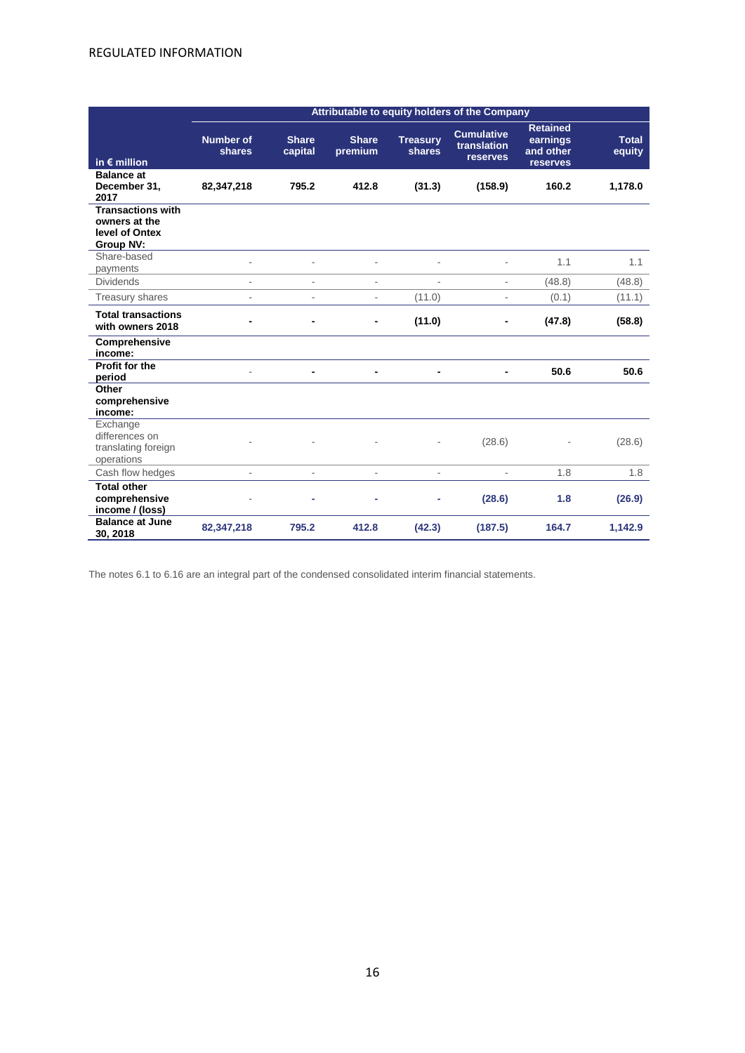|                                                                                 | Attributable to equity holders of the Company |                          |                              |                           |                                                     |                                                      |                        |
|---------------------------------------------------------------------------------|-----------------------------------------------|--------------------------|------------------------------|---------------------------|-----------------------------------------------------|------------------------------------------------------|------------------------|
| in $\epsilon$ million                                                           | <b>Number of</b><br>shares                    | <b>Share</b><br>capital  | <b>Share</b><br>premium      | <b>Treasury</b><br>shares | <b>Cumulative</b><br>translation<br><b>reserves</b> | <b>Retained</b><br>earnings<br>and other<br>reserves | <b>Total</b><br>equity |
| <b>Balance at</b><br>December 31,<br>2017                                       | 82,347,218                                    | 795.2                    | 412.8                        | (31.3)                    | (158.9)                                             | 160.2                                                | 1,178.0                |
| <b>Transactions with</b><br>owners at the<br>level of Ontex<br><b>Group NV:</b> |                                               |                          |                              |                           |                                                     |                                                      |                        |
| Share-based<br>payments                                                         |                                               |                          |                              |                           |                                                     | 1.1                                                  | 1.1                    |
| <b>Dividends</b>                                                                | ٠                                             | $\overline{\phantom{a}}$ | $\overline{\phantom{a}}$     | ٠                         | $\overline{\phantom{a}}$                            | (48.8)                                               | (48.8)                 |
| Treasury shares                                                                 |                                               | $\overline{\phantom{a}}$ | $\overline{\phantom{a}}$     | (11.0)                    | ÷.                                                  | (0.1)                                                | (11.1)                 |
| <b>Total transactions</b><br>with owners 2018                                   |                                               |                          | $\qquad \qquad \blacksquare$ | (11.0)                    |                                                     | (47.8)                                               | (58.8)                 |
| Comprehensive<br>income:                                                        |                                               |                          |                              |                           |                                                     |                                                      |                        |
| Profit for the<br>period                                                        |                                               |                          |                              |                           |                                                     | 50.6                                                 | 50.6                   |
| Other<br>comprehensive<br>income:                                               |                                               |                          |                              |                           |                                                     |                                                      |                        |
| Exchange<br>differences on<br>translating foreign<br>operations                 |                                               |                          |                              |                           | (28.6)                                              |                                                      | (28.6)                 |
| Cash flow hedges                                                                |                                               | $\overline{\phantom{a}}$ | ÷.                           | ä,                        |                                                     | 1.8                                                  | 1.8                    |
| <b>Total other</b><br>comprehensive<br>income / (loss)                          |                                               |                          | ۰                            | ۰                         | (28.6)                                              | 1.8                                                  | (26.9)                 |
| <b>Balance at June</b><br>30, 2018                                              | 82,347,218                                    | 795.2                    | 412.8                        | (42.3)                    | (187.5)                                             | 164.7                                                | 1,142.9                |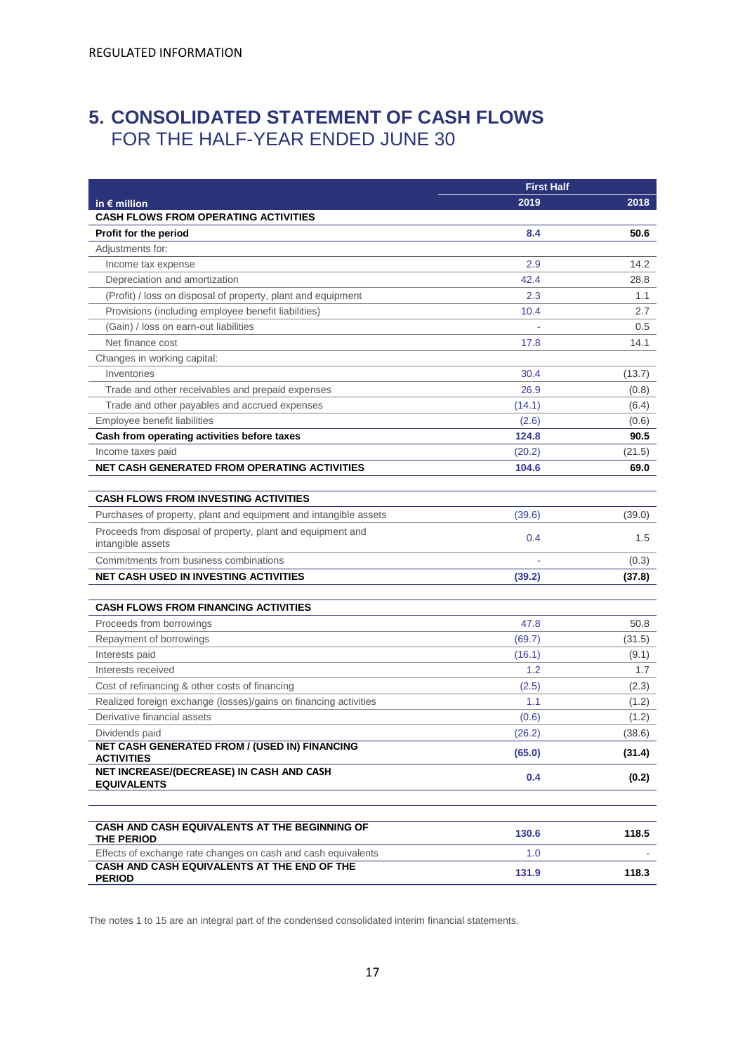# <span id="page-16-0"></span>**5. CONSOLIDATED STATEMENT OF CASH FLOWS** FOR THE HALF-YEAR ENDED JUNE 30

|                                                                                  | <b>First Half</b> |                 |  |
|----------------------------------------------------------------------------------|-------------------|-----------------|--|
| in $\epsilon$ million                                                            | 2019              | 2018            |  |
| <b>CASH FLOWS FROM OPERATING ACTIVITIES</b>                                      |                   |                 |  |
| <b>Profit for the period</b>                                                     | 8.4               | 50.6            |  |
| Adjustments for:                                                                 |                   |                 |  |
| Income tax expense                                                               | 2.9               | 14.2            |  |
| Depreciation and amortization                                                    | 42.4              | 28.8            |  |
| (Profit) / loss on disposal of property, plant and equipment                     | 2.3               | 1.1             |  |
| Provisions (including employee benefit liabilities)                              | 10.4              | 2.7             |  |
| (Gain) / loss on earn-out liabilities                                            |                   | 0.5             |  |
| Net finance cost                                                                 | 17.8              | 14.1            |  |
| Changes in working capital:                                                      |                   |                 |  |
| Inventories                                                                      | 30.4              | (13.7)          |  |
| Trade and other receivables and prepaid expenses                                 | 26.9              | (0.8)           |  |
| Trade and other payables and accrued expenses                                    | (14.1)            | (6.4)           |  |
| Employee benefit liabilities                                                     | (2.6)             | (0.6)           |  |
| Cash from operating activities before taxes                                      | 124.8             | 90.5            |  |
| Income taxes paid                                                                | (20.2)            | (21.5)          |  |
| NET CASH GENERATED FROM OPERATING ACTIVITIES                                     | 104.6             | 69.0            |  |
|                                                                                  |                   |                 |  |
| <b>CASH FLOWS FROM INVESTING ACTIVITIES</b>                                      |                   |                 |  |
| Purchases of property, plant and equipment and intangible assets                 | (39.6)            | (39.0)          |  |
| Proceeds from disposal of property, plant and equipment and<br>intangible assets | 0.4               | 1.5             |  |
| Commitments from business combinations                                           |                   | (0.3)           |  |
| <b>NET CASH USED IN INVESTING ACTIVITIES</b>                                     | (39.2)            | (37.8)          |  |
| <b>CASH FLOWS FROM FINANCING ACTIVITIES</b>                                      |                   |                 |  |
| Proceeds from borrowings                                                         | 47.8              | 50.8            |  |
|                                                                                  | (69.7)            |                 |  |
| Repayment of borrowings<br>Interests paid                                        | (16.1)            | (31.5)<br>(9.1) |  |
| Interests received                                                               | 1.2               | 1.7             |  |
| Cost of refinancing & other costs of financing                                   | (2.5)             |                 |  |
| Realized foreign exchange (losses)/gains on financing activities                 | 1.1               | (2.3)<br>(1.2)  |  |
| Derivative financial assets                                                      | (0.6)             | (1.2)           |  |
| Dividends paid                                                                   | (26.2)            | (38.6)          |  |
| <b>NET CASH GENERATED FROM / (USED IN) FINANCING</b>                             |                   |                 |  |
| <b>ACTIVITIES</b>                                                                | (65.0)            | (31.4)          |  |
| NET INCREASE/(DECREASE) IN CASH AND CASH<br><b>EQUIVALENTS</b>                   | 0.4               | (0.2)           |  |
|                                                                                  |                   |                 |  |
| CASH AND CASH EQUIVALENTS AT THE BEGINNING OF<br>THE PERIOD                      | 130.6             | 118.5           |  |
| Effects of exchange rate changes on cash and cash equivalents                    | 1.0               |                 |  |
| CASH AND CASH EQUIVALENTS AT THE END OF THE<br><b>PERIOD</b>                     | 131.9             | 118.3           |  |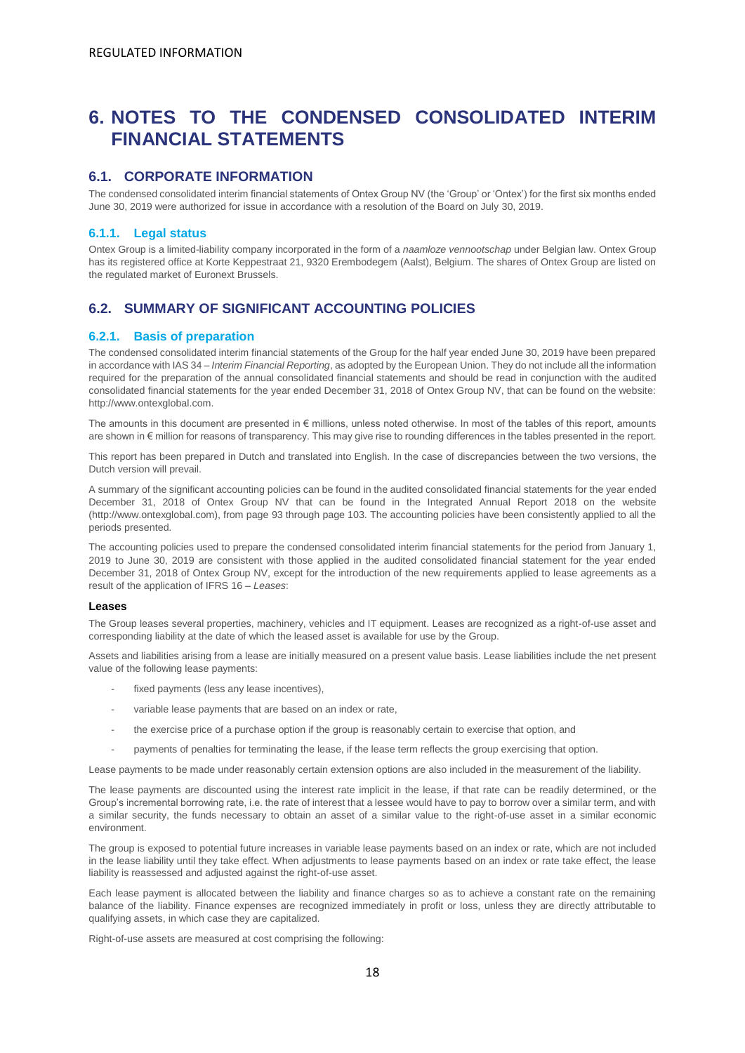# <span id="page-17-0"></span>**6. NOTES TO THE CONDENSED CONSOLIDATED INTERIM FINANCIAL STATEMENTS**

# <span id="page-17-1"></span>**6.1. CORPORATE INFORMATION**

The condensed consolidated interim financial statements of Ontex Group NV (the 'Group' or 'Ontex') for the first six months ended June 30, 2019 were authorized for issue in accordance with a resolution of the Board on July 30, 2019.

#### **6.1.1. Legal status**

Ontex Group is a limited-liability company incorporated in the form of a *naamloze vennootschap* under Belgian law. Ontex Group has its registered office at Korte Keppestraat 21, 9320 Erembodegem (Aalst), Belgium. The shares of Ontex Group are listed on the regulated market of Euronext Brussels.

# <span id="page-17-2"></span>**6.2. SUMMARY OF SIGNIFICANT ACCOUNTING POLICIES**

#### **6.2.1. Basis of preparation**

The condensed consolidated interim financial statements of the Group for the half year ended June 30, 2019 have been prepared in accordance with IAS 34 – *Interim Financial Reporting*, as adopted by the European Union. They do not include all the information required for the preparation of the annual consolidated financial statements and should be read in conjunction with the audited consolidated financial statements for the year ended December 31, 2018 of Ontex Group NV, that can be found on the website: http://www.ontexglobal.com.

The amounts in this document are presented in € millions, unless noted otherwise. In most of the tables of this report, amounts are shown in € million for reasons of transparency. This may give rise to rounding differences in the tables presented in the report.

This report has been prepared in Dutch and translated into English. In the case of discrepancies between the two versions, the Dutch version will prevail.

A summary of the significant accounting policies can be found in the audited consolidated financial statements for the year ended December 31, 2018 of Ontex Group NV that can be found in the Integrated Annual Report 2018 on the website (http://www.ontexglobal.com), from page 93 through page 103. The accounting policies have been consistently applied to all the periods presented.

The accounting policies used to prepare the condensed consolidated interim financial statements for the period from January 1, 2019 to June 30, 2019 are consistent with those applied in the audited consolidated financial statement for the year ended December 31, 2018 of Ontex Group NV, except for the introduction of the new requirements applied to lease agreements as a result of the application of IFRS 16 – *Leases*:

#### **Leases**

The Group leases several properties, machinery, vehicles and IT equipment. Leases are recognized as a right-of-use asset and corresponding liability at the date of which the leased asset is available for use by the Group.

Assets and liabilities arising from a lease are initially measured on a present value basis. Lease liabilities include the net present value of the following lease payments:

- fixed payments (less any lease incentives),
- variable lease payments that are based on an index or rate,
- the exercise price of a purchase option if the group is reasonably certain to exercise that option, and
- payments of penalties for terminating the lease, if the lease term reflects the group exercising that option.

Lease payments to be made under reasonably certain extension options are also included in the measurement of the liability.

The lease payments are discounted using the interest rate implicit in the lease, if that rate can be readily determined, or the Group's incremental borrowing rate, i.e. the rate of interest that a lessee would have to pay to borrow over a similar term, and with a similar security, the funds necessary to obtain an asset of a similar value to the right-of-use asset in a similar economic environment.

The group is exposed to potential future increases in variable lease payments based on an index or rate, which are not included in the lease liability until they take effect. When adjustments to lease payments based on an index or rate take effect, the lease liability is reassessed and adjusted against the right-of-use asset.

Each lease payment is allocated between the liability and finance charges so as to achieve a constant rate on the remaining balance of the liability. Finance expenses are recognized immediately in profit or loss, unless they are directly attributable to qualifying assets, in which case they are capitalized.

Right-of-use assets are measured at cost comprising the following: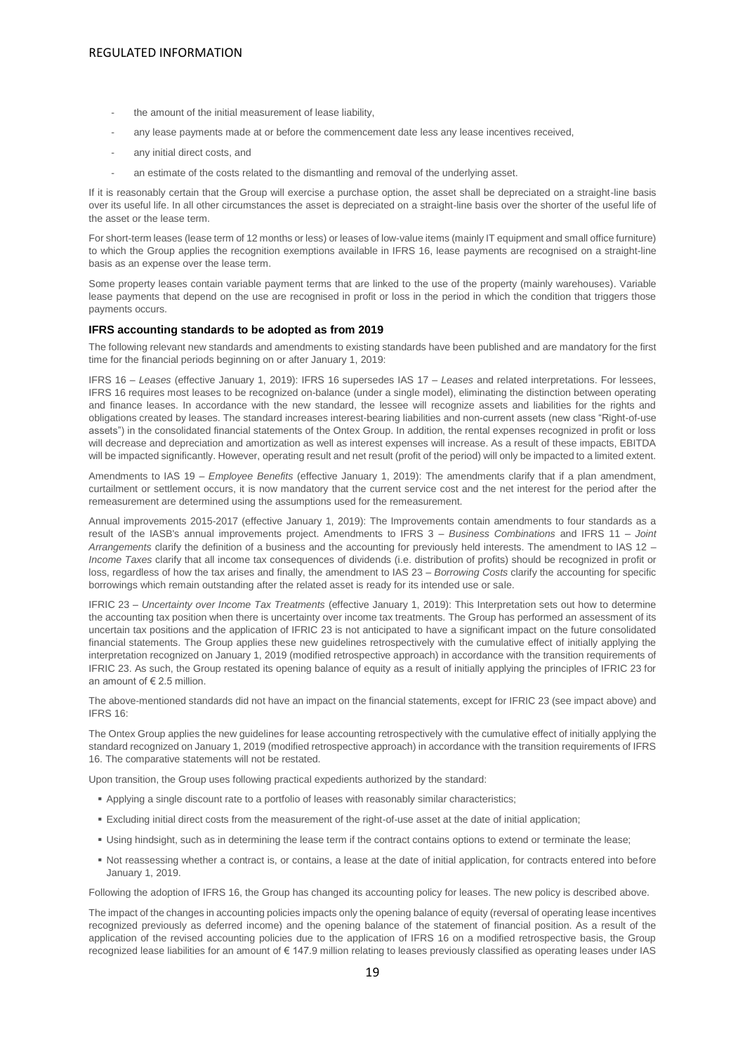- the amount of the initial measurement of lease liability,
- any lease payments made at or before the commencement date less any lease incentives received,
- any initial direct costs, and
- an estimate of the costs related to the dismantling and removal of the underlying asset.

If it is reasonably certain that the Group will exercise a purchase option, the asset shall be depreciated on a straight-line basis over its useful life. In all other circumstances the asset is depreciated on a straight-line basis over the shorter of the useful life of the asset or the lease term.

For short-term leases (lease term of 12 months or less) or leases of low-value items (mainly IT equipment and small office furniture) to which the Group applies the recognition exemptions available in IFRS 16, lease payments are recognised on a straight-line basis as an expense over the lease term.

Some property leases contain variable payment terms that are linked to the use of the property (mainly warehouses). Variable lease payments that depend on the use are recognised in profit or loss in the period in which the condition that triggers those payments occurs.

#### **IFRS accounting standards to be adopted as from 2019**

The following relevant new standards and amendments to existing standards have been published and are mandatory for the first time for the financial periods beginning on or after January 1, 2019:

IFRS 16 – *Leases* (effective January 1, 2019): IFRS 16 supersedes IAS 17 – *Leases* and related interpretations. For lessees, IFRS 16 requires most leases to be recognized on-balance (under a single model), eliminating the distinction between operating and finance leases. In accordance with the new standard, the lessee will recognize assets and liabilities for the rights and obligations created by leases. The standard increases interest-bearing liabilities and non-current assets (new class "Right-of-use assets") in the consolidated financial statements of the Ontex Group. In addition, the rental expenses recognized in profit or loss will decrease and depreciation and amortization as well as interest expenses will increase. As a result of these impacts, EBITDA will be impacted significantly. However, operating result and net result (profit of the period) will only be impacted to a limited extent.

Amendments to IAS 19 – *Employee Benefits* (effective January 1, 2019): The amendments clarify that if a plan amendment, curtailment or settlement occurs, it is now mandatory that the current service cost and the net interest for the period after the remeasurement are determined using the assumptions used for the remeasurement.

Annual improvements 2015-2017 (effective January 1, 2019): The Improvements contain amendments to four standards as a result of the IASB's annual improvements project. Amendments to IFRS 3 – *Business Combinations* and IFRS 11 – *Joint Arrangements* clarify the definition of a business and the accounting for previously held interests. The amendment to IAS 12 – *Income Taxes* clarify that all income tax consequences of dividends (i.e. distribution of profits) should be recognized in profit or loss, regardless of how the tax arises and finally, the amendment to IAS 23 – *Borrowing Costs* clarify the accounting for specific borrowings which remain outstanding after the related asset is ready for its intended use or sale.

IFRIC 23 – *Uncertainty over Income Tax Treatments* (effective January 1, 2019): This Interpretation sets out how to determine the accounting tax position when there is uncertainty over income tax treatments. The Group has performed an assessment of its uncertain tax positions and the application of IFRIC 23 is not anticipated to have a significant impact on the future consolidated financial statements. The Group applies these new guidelines retrospectively with the cumulative effect of initially applying the interpretation recognized on January 1, 2019 (modified retrospective approach) in accordance with the transition requirements of IFRIC 23. As such, the Group restated its opening balance of equity as a result of initially applying the principles of IFRIC 23 for an amount of € 2.5 million.

The above-mentioned standards did not have an impact on the financial statements, except for IFRIC 23 (see impact above) and IFRS 16:

The Ontex Group applies the new guidelines for lease accounting retrospectively with the cumulative effect of initially applying the standard recognized on January 1, 2019 (modified retrospective approach) in accordance with the transition requirements of IFRS 16. The comparative statements will not be restated.

Upon transition, the Group uses following practical expedients authorized by the standard:

- Applying a single discount rate to a portfolio of leases with reasonably similar characteristics;
- Excluding initial direct costs from the measurement of the right-of-use asset at the date of initial application;
- Using hindsight, such as in determining the lease term if the contract contains options to extend or terminate the lease;
- Not reassessing whether a contract is, or contains, a lease at the date of initial application, for contracts entered into before January 1, 2019.

Following the adoption of IFRS 16, the Group has changed its accounting policy for leases. The new policy is described above.

The impact of the changes in accounting policies impacts only the opening balance of equity (reversal of operating lease incentives recognized previously as deferred income) and the opening balance of the statement of financial position. As a result of the application of the revised accounting policies due to the application of IFRS 16 on a modified retrospective basis, the Group recognized lease liabilities for an amount of € 147.9 million relating to leases previously classified as operating leases under IAS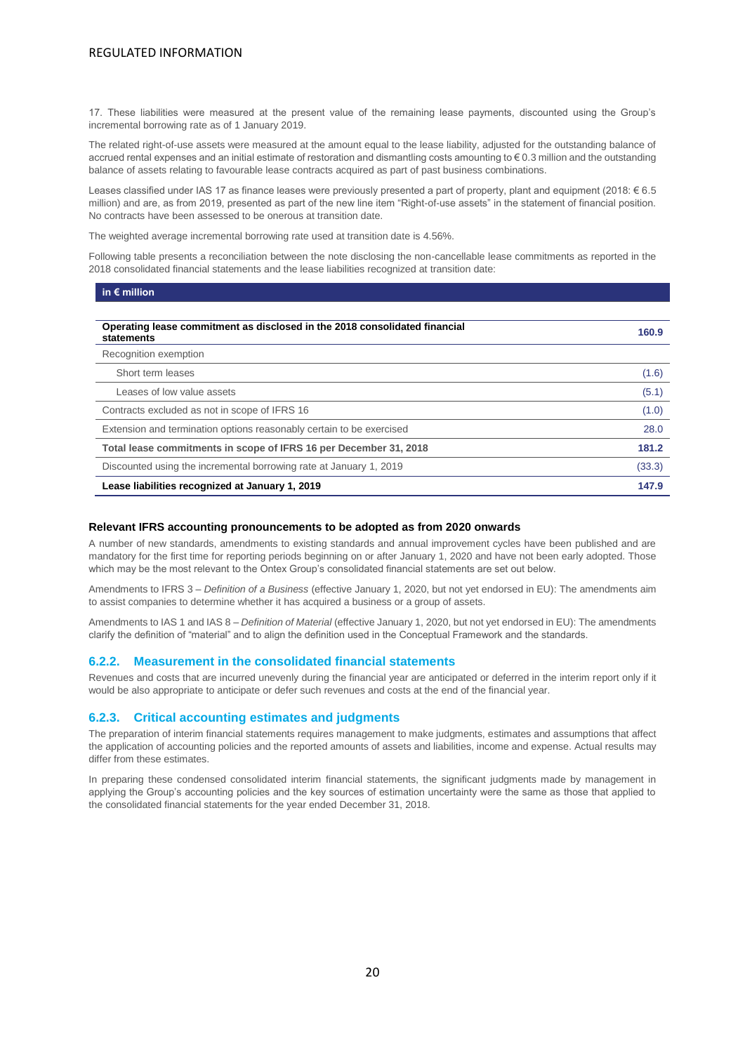17. These liabilities were measured at the present value of the remaining lease payments, discounted using the Group's incremental borrowing rate as of 1 January 2019.

The related right-of-use assets were measured at the amount equal to the lease liability, adjusted for the outstanding balance of accrued rental expenses and an initial estimate of restoration and dismantling costs amounting to € 0.3 million and the outstanding balance of assets relating to favourable lease contracts acquired as part of past business combinations.

Leases classified under IAS 17 as finance leases were previously presented a part of property, plant and equipment (2018: € 6.5 million) and are, as from 2019, presented as part of the new line item "Right-of-use assets" in the statement of financial position. No contracts have been assessed to be onerous at transition date.

The weighted average incremental borrowing rate used at transition date is 4.56%.

Following table presents a reconciliation between the note disclosing the non-cancellable lease commitments as reported in the 2018 consolidated financial statements and the lease liabilities recognized at transition date:

| in $\epsilon$ million                                                                    |        |
|------------------------------------------------------------------------------------------|--------|
|                                                                                          |        |
| Operating lease commitment as disclosed in the 2018 consolidated financial<br>statements | 160.9  |
| Recognition exemption                                                                    |        |
| Short term leases                                                                        | (1.6)  |
| Leases of low value assets                                                               | (5.1)  |
| Contracts excluded as not in scope of IFRS 16                                            | (1.0)  |
| Extension and termination options reasonably certain to be exercised                     | 28.0   |
| Total lease commitments in scope of IFRS 16 per December 31, 2018                        | 181.2  |
| Discounted using the incremental borrowing rate at January 1, 2019                       | (33.3) |
| Lease liabilities recognized at January 1, 2019                                          | 147.9  |

#### **Relevant IFRS accounting pronouncements to be adopted as from 2020 onwards**

A number of new standards, amendments to existing standards and annual improvement cycles have been published and are mandatory for the first time for reporting periods beginning on or after January 1, 2020 and have not been early adopted. Those which may be the most relevant to the Ontex Group's consolidated financial statements are set out below.

Amendments to IFRS 3 – *Definition of a Business* (effective January 1, 2020, but not yet endorsed in EU): The amendments aim to assist companies to determine whether it has acquired a business or a group of assets.

Amendments to IAS 1 and IAS 8 – *Definition of Material* (effective January 1, 2020, but not yet endorsed in EU): The amendments clarify the definition of "material" and to align the definition used in the Conceptual Framework and the standards.

#### **6.2.2. Measurement in the consolidated financial statements**

Revenues and costs that are incurred unevenly during the financial year are anticipated or deferred in the interim report only if it would be also appropriate to anticipate or defer such revenues and costs at the end of the financial year.

#### **6.2.3. Critical accounting estimates and judgments**

The preparation of interim financial statements requires management to make judgments, estimates and assumptions that affect the application of accounting policies and the reported amounts of assets and liabilities, income and expense. Actual results may differ from these estimates.

In preparing these condensed consolidated interim financial statements, the significant judgments made by management in applying the Group's accounting policies and the key sources of estimation uncertainty were the same as those that applied to the consolidated financial statements for the year ended December 31, 2018.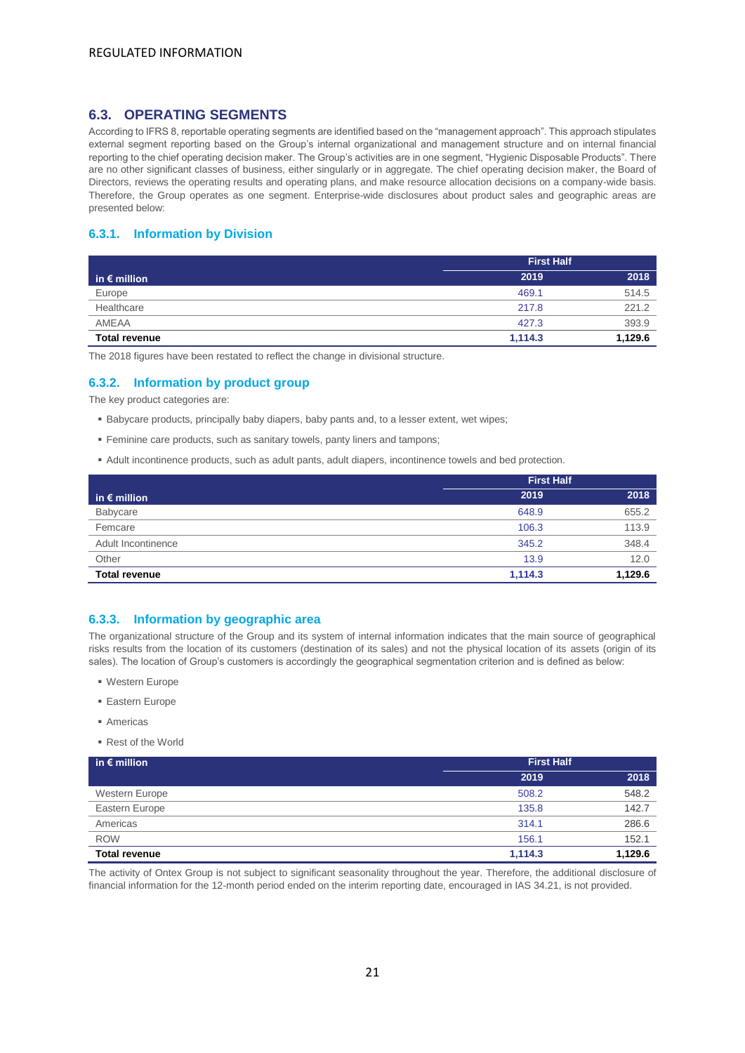# <span id="page-20-0"></span>**6.3. OPERATING SEGMENTS**

According to IFRS 8, reportable operating segments are identified based on the "management approach". This approach stipulates external segment reporting based on the Group's internal organizational and management structure and on internal financial reporting to the chief operating decision maker. The Group's activities are in one segment, "Hygienic Disposable Products". There are no other significant classes of business, either singularly or in aggregate. The chief operating decision maker, the Board of Directors, reviews the operating results and operating plans, and make resource allocation decisions on a company-wide basis. Therefore, the Group operates as one segment. Enterprise-wide disclosures about product sales and geographic areas are presented below:

### **6.3.1. Information by Division**

|                       | <b>First Half</b> |         |  |
|-----------------------|-------------------|---------|--|
| in $\epsilon$ million | 2019              | 2018    |  |
| Europe                | 469.1             | 514.5   |  |
| Healthcare            | 217.8             | 221.2   |  |
| AMEAA                 | 427.3             | 393.9   |  |
| <b>Total revenue</b>  | 1.114.3           | 1,129.6 |  |

The 2018 figures have been restated to reflect the change in divisional structure.

### **6.3.2. Information by product group**

The key product categories are:

- **E** Babycare products, principally baby diapers, baby pants and, to a lesser extent, wet wipes;
- Feminine care products, such as sanitary towels, panty liners and tampons;
- Adult incontinence products, such as adult pants, adult diapers, incontinence towels and bed protection.

|                       | <b>First Half</b> |         |  |
|-----------------------|-------------------|---------|--|
| in $\epsilon$ million | 2019              | 2018    |  |
| Babycare              | 648.9             | 655.2   |  |
| Femcare               | 106.3             | 113.9   |  |
| Adult Incontinence    | 345.2             | 348.4   |  |
| Other                 | 13.9              | 12.0    |  |
| <b>Total revenue</b>  | 1.114.3           | 1,129.6 |  |

#### **6.3.3. Information by geographic area**

The organizational structure of the Group and its system of internal information indicates that the main source of geographical risks results from the location of its customers (destination of its sales) and not the physical location of its assets (origin of its sales). The location of Group's customers is accordingly the geographical segmentation criterion and is defined as below:

- Western Europe
- Eastern Europe
- Americas
- Rest of the World

| in $\epsilon$ million | <b>First Half</b> |         |
|-----------------------|-------------------|---------|
|                       | 2019              | 2018    |
| Western Europe        | 508.2             | 548.2   |
| Eastern Europe        | 135.8             | 142.7   |
| Americas              | 314.1             | 286.6   |
| <b>ROW</b>            | 156.1             | 152.1   |
| <b>Total revenue</b>  | 1.114.3           | 1,129.6 |

The activity of Ontex Group is not subject to significant seasonality throughout the year. Therefore, the additional disclosure of financial information for the 12-month period ended on the interim reporting date, encouraged in IAS 34.21, is not provided.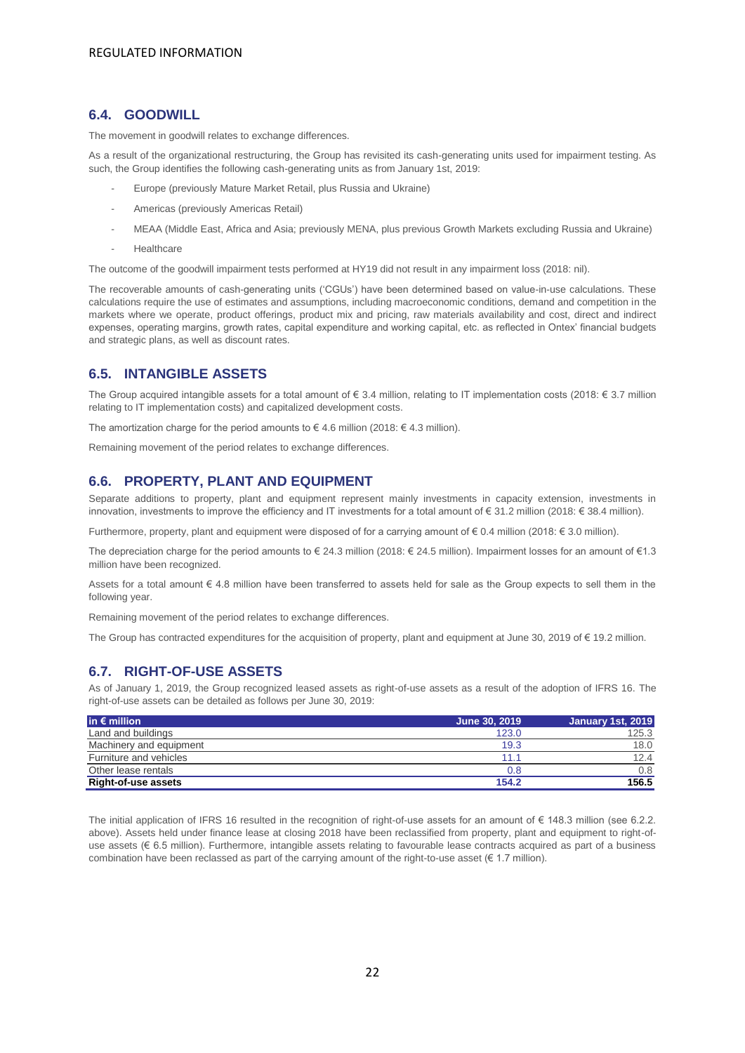# <span id="page-21-0"></span>**6.4. GOODWILL**

The movement in goodwill relates to exchange differences.

As a result of the organizational restructuring, the Group has revisited its cash-generating units used for impairment testing. As such, the Group identifies the following cash-generating units as from January 1st, 2019:

- Europe (previously Mature Market Retail, plus Russia and Ukraine)
- Americas (previously Americas Retail)
- MEAA (Middle East, Africa and Asia; previously MENA, plus previous Growth Markets excluding Russia and Ukraine)
- Healthcare

The outcome of the goodwill impairment tests performed at HY19 did not result in any impairment loss (2018: nil).

The recoverable amounts of cash-generating units ('CGUs') have been determined based on value-in-use calculations. These calculations require the use of estimates and assumptions, including macroeconomic conditions, demand and competition in the markets where we operate, product offerings, product mix and pricing, raw materials availability and cost, direct and indirect expenses, operating margins, growth rates, capital expenditure and working capital, etc. as reflected in Ontex' financial budgets and strategic plans, as well as discount rates.

# <span id="page-21-1"></span>**6.5. INTANGIBLE ASSETS**

The Group acquired intangible assets for a total amount of  $\epsilon$  3.4 million, relating to IT implementation costs (2018:  $\epsilon$  3.7 million relating to IT implementation costs) and capitalized development costs.

The amortization charge for the period amounts to  $\in$  4.6 million (2018:  $\in$  4.3 million).

Remaining movement of the period relates to exchange differences.

### <span id="page-21-2"></span>**6.6. PROPERTY, PLANT AND EQUIPMENT**

Separate additions to property, plant and equipment represent mainly investments in capacity extension, investments in innovation, investments to improve the efficiency and IT investments for a total amount of € 31.2 million (2018: € 38.4 million).

Furthermore, property, plant and equipment were disposed of for a carrying amount of € 0.4 million (2018: € 3.0 million).

The depreciation charge for the period amounts to  $\in$  24.3 million (2018:  $\in$  24.5 million). Impairment losses for an amount of  $\in$ 1.3 million have been recognized.

Assets for a total amount € 4.8 million have been transferred to assets held for sale as the Group expects to sell them in the following year.

Remaining movement of the period relates to exchange differences.

The Group has contracted expenditures for the acquisition of property, plant and equipment at June 30, 2019 of  $\epsilon$  19.2 million.

# <span id="page-21-3"></span>**6.7. RIGHT-OF-USE ASSETS**

As of January 1, 2019, the Group recognized leased assets as right-of-use assets as a result of the adoption of IFRS 16. The right-of-use assets can be detailed as follows per June 30, 2019:

| $\mathsf{in} \in \mathsf{million}$ | June 30, 2019 | <b>January 1st, 2019</b> |
|------------------------------------|---------------|--------------------------|
| Land and buildings                 | 123.0         | 125.3                    |
| Machinery and equipment            | 19.3          | 18.0                     |
| Furniture and vehicles             | 11.1          | 12.4                     |
| Other lease rentals                | 0.8           | 0.8                      |
| <b>Right-of-use assets</b>         | 154.2         | 156.5                    |

The initial application of IFRS 16 resulted in the recognition of right-of-use assets for an amount of € 148.3 million (see 6.2.2. above). Assets held under finance lease at closing 2018 have been reclassified from property, plant and equipment to right-ofuse assets (€ 6.5 million). Furthermore, intangible assets relating to favourable lease contracts acquired as part of a business combination have been reclassed as part of the carrying amount of the right-to-use asset (€ 1.7 million).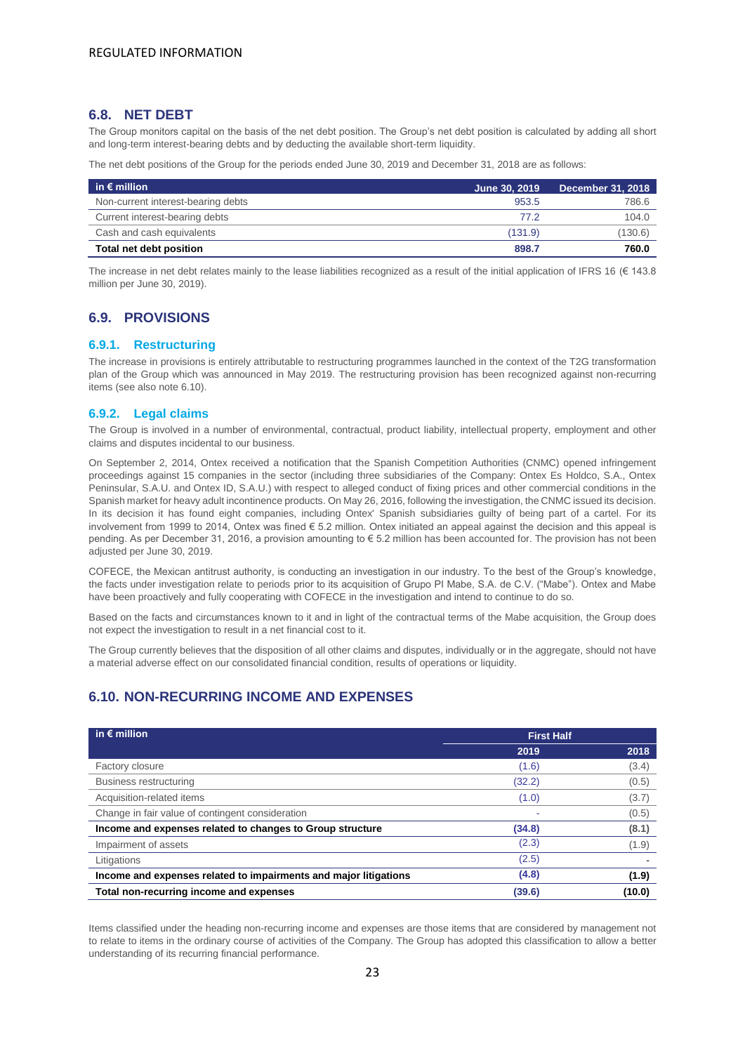### <span id="page-22-0"></span>**6.8. NET DEBT**

The Group monitors capital on the basis of the net debt position. The Group's net debt position is calculated by adding all short and long-term interest-bearing debts and by deducting the available short-term liquidity.

The net debt positions of the Group for the periods ended June 30, 2019 and December 31, 2018 are as follows:

| in $\epsilon$ million              | June 30, 2019 | <b>December 31, 2018</b> |
|------------------------------------|---------------|--------------------------|
| Non-current interest-bearing debts | 953.5         | 786.6                    |
| Current interest-bearing debts     | 77.2          | 104.0                    |
| Cash and cash equivalents          | (131.9)       | (130.6)                  |
| Total net debt position            | 898.7         | 760.0                    |

The increase in net debt relates mainly to the lease liabilities recognized as a result of the initial application of IFRS 16 ( $\in$  143.8) million per June 30, 2019).

# <span id="page-22-1"></span>**6.9. PROVISIONS**

#### **6.9.1. Restructuring**

The increase in provisions is entirely attributable to restructuring programmes launched in the context of the T2G transformation plan of the Group which was announced in May 2019. The restructuring provision has been recognized against non-recurring items (see also note 6.10).

#### **6.9.2. Legal claims**

The Group is involved in a number of environmental, contractual, product liability, intellectual property, employment and other claims and disputes incidental to our business.

On September 2, 2014, Ontex received a notification that the Spanish Competition Authorities (CNMC) opened infringement proceedings against 15 companies in the sector (including three subsidiaries of the Company: Ontex Es Holdco, S.A., Ontex Peninsular, S.A.U. and Ontex ID, S.A.U.) with respect to alleged conduct of fixing prices and other commercial conditions in the Spanish market for heavy adult incontinence products. On May 26, 2016, following the investigation, the CNMC issued its decision. In its decision it has found eight companies, including Ontex' Spanish subsidiaries guilty of being part of a cartel. For its involvement from 1999 to 2014, Ontex was fined € 5.2 million. Ontex initiated an appeal against the decision and this appeal is pending. As per December 31, 2016, a provision amounting to € 5.2 million has been accounted for. The provision has not been adjusted per June 30, 2019.

COFECE, the Mexican antitrust authority, is conducting an investigation in our industry. To the best of the Group's knowledge, the facts under investigation relate to periods prior to its acquisition of Grupo PI Mabe, S.A. de C.V. ("Mabe"). Ontex and Mabe have been proactively and fully cooperating with COFECE in the investigation and intend to continue to do so.

Based on the facts and circumstances known to it and in light of the contractual terms of the Mabe acquisition, the Group does not expect the investigation to result in a net financial cost to it.

The Group currently believes that the disposition of all other claims and disputes, individually or in the aggregate, should not have a material adverse effect on our consolidated financial condition, results of operations or liquidity.

# <span id="page-22-2"></span>**6.10. NON-RECURRING INCOME AND EXPENSES**

| in $\epsilon$ million                                            | <b>First Half</b> |        |
|------------------------------------------------------------------|-------------------|--------|
|                                                                  | 2019              | 2018   |
| Factory closure                                                  | (1.6)             | (3.4)  |
| Business restructuring                                           | (32.2)            | (0.5)  |
| Acquisition-related items                                        | (1.0)             | (3.7)  |
| Change in fair value of contingent consideration                 |                   | (0.5)  |
| Income and expenses related to changes to Group structure        | (34.8)            | (8.1)  |
| Impairment of assets                                             | (2.3)             | (1.9)  |
| Litigations                                                      | (2.5)             |        |
| Income and expenses related to impairments and major litigations | (4.8)             | (1.9)  |
| Total non-recurring income and expenses                          | (39.6)            | (10.0) |

Items classified under the heading non-recurring income and expenses are those items that are considered by management not to relate to items in the ordinary course of activities of the Company. The Group has adopted this classification to allow a better understanding of its recurring financial performance.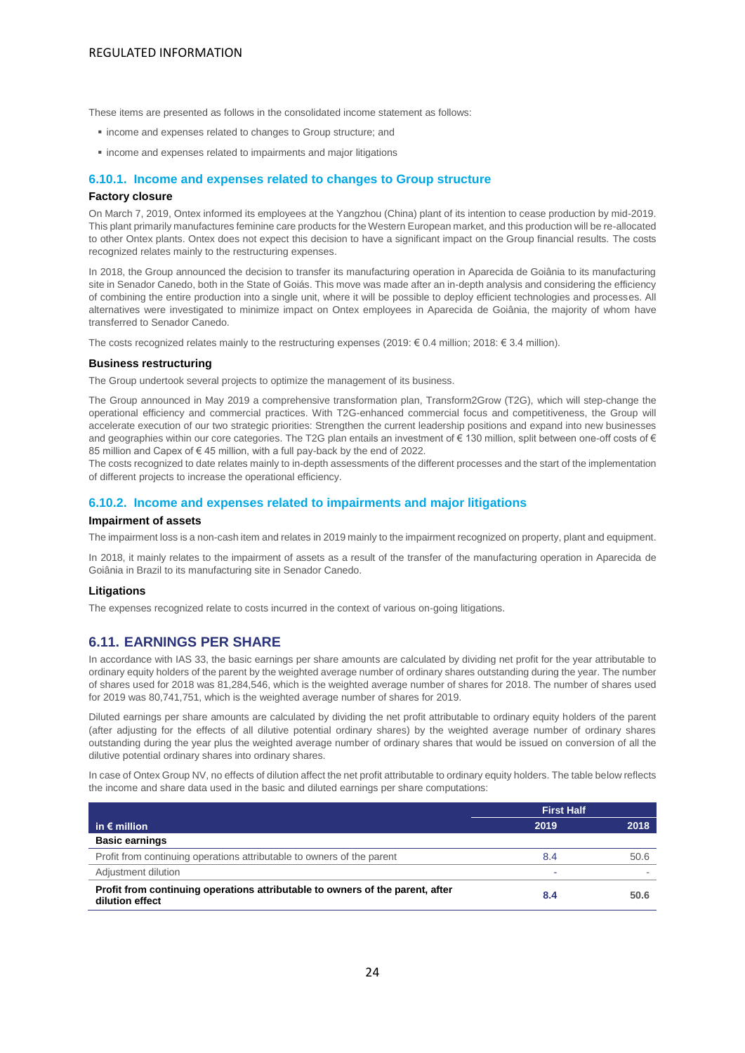These items are presented as follows in the consolidated income statement as follows:

- income and expenses related to changes to Group structure; and
- income and expenses related to impairments and major litigations

### **6.10.1. Income and expenses related to changes to Group structure**

#### **Factory closure**

On March 7, 2019, Ontex informed its employees at the Yangzhou (China) plant of its intention to cease production by mid-2019. This plant primarily manufactures feminine care products for the Western European market, and this production will be re-allocated to other Ontex plants. Ontex does not expect this decision to have a significant impact on the Group financial results. The costs recognized relates mainly to the restructuring expenses.

In 2018, the Group announced the decision to transfer its manufacturing operation in Aparecida de Goiânia to its manufacturing site in Senador Canedo, both in the State of Goiás. This move was made after an in-depth analysis and considering the efficiency of combining the entire production into a single unit, where it will be possible to deploy efficient technologies and processes. All alternatives were investigated to minimize impact on Ontex employees in Aparecida de Goiânia, the majority of whom have transferred to Senador Canedo.

The costs recognized relates mainly to the restructuring expenses (2019: € 0.4 million; 2018: € 3.4 million).

#### **Business restructuring**

The Group undertook several projects to optimize the management of its business.

The Group announced in May 2019 a comprehensive transformation plan, Transform2Grow (T2G), which will step-change the operational efficiency and commercial practices. With T2G-enhanced commercial focus and competitiveness, the Group will accelerate execution of our two strategic priorities: Strengthen the current leadership positions and expand into new businesses and geographies within our core categories. The T2G plan entails an investment of € 130 million, split between one-off costs of € 85 million and Capex of €45 million, with a full pay-back by the end of 2022.

The costs recognized to date relates mainly to in-depth assessments of the different processes and the start of the implementation of different projects to increase the operational efficiency.

#### **6.10.2. Income and expenses related to impairments and major litigations**

#### **Impairment of assets**

The impairment loss is a non-cash item and relates in 2019 mainly to the impairment recognized on property, plant and equipment.

In 2018, it mainly relates to the impairment of assets as a result of the transfer of the manufacturing operation in Aparecida de Goiânia in Brazil to its manufacturing site in Senador Canedo.

#### **Litigations**

The expenses recognized relate to costs incurred in the context of various on-going litigations.

### <span id="page-23-0"></span>**6.11. EARNINGS PER SHARE**

In accordance with IAS 33, the basic earnings per share amounts are calculated by dividing net profit for the year attributable to ordinary equity holders of the parent by the weighted average number of ordinary shares outstanding during the year. The number of shares used for 2018 was 81,284,546, which is the weighted average number of shares for 2018. The number of shares used for 2019 was 80,741,751, which is the weighted average number of shares for 2019.

Diluted earnings per share amounts are calculated by dividing the net profit attributable to ordinary equity holders of the parent (after adjusting for the effects of all dilutive potential ordinary shares) by the weighted average number of ordinary shares outstanding during the year plus the weighted average number of ordinary shares that would be issued on conversion of all the dilutive potential ordinary shares into ordinary shares.

In case of Ontex Group NV, no effects of dilution affect the net profit attributable to ordinary equity holders. The table below reflects the income and share data used in the basic and diluted earnings per share computations:

|                                                                                                  | <b>First Half</b> |      |
|--------------------------------------------------------------------------------------------------|-------------------|------|
| in $\epsilon$ million                                                                            | 2019              | 2018 |
| <b>Basic earnings</b>                                                                            |                   |      |
| Profit from continuing operations attributable to owners of the parent                           | 8.4               | 50.6 |
| Adjustment dilution                                                                              |                   |      |
| Profit from continuing operations attributable to owners of the parent, after<br>dilution effect | 8.4               | 50.6 |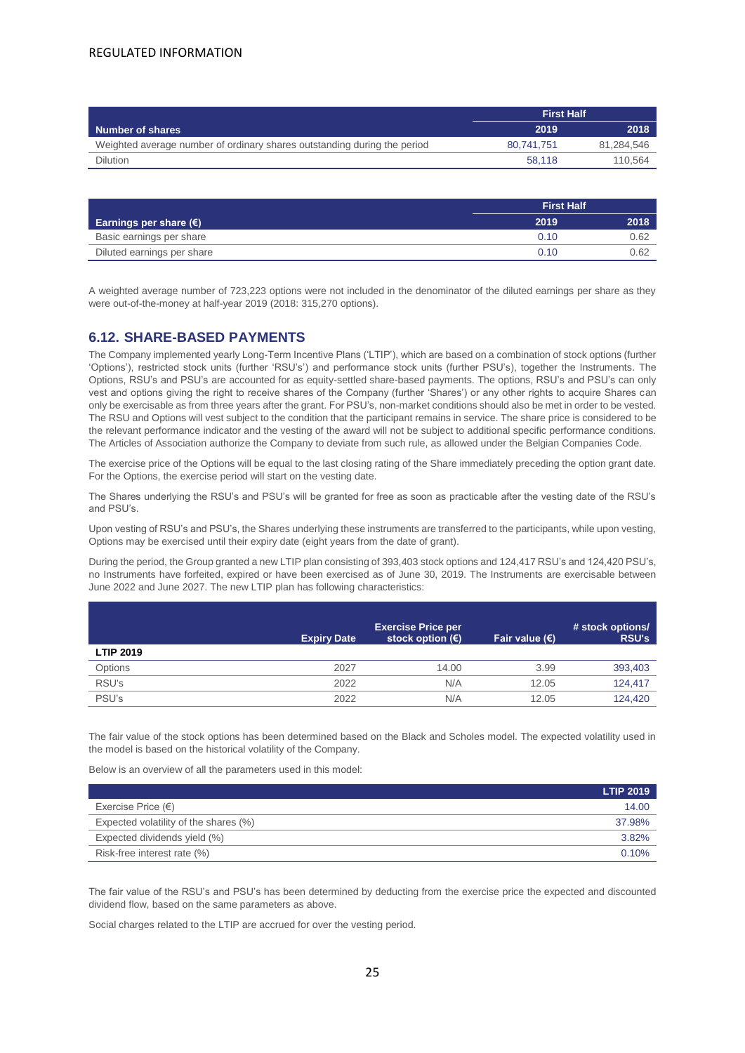|                                                                          | <b>First Half</b> |            |
|--------------------------------------------------------------------------|-------------------|------------|
| Number of shares                                                         | 2019              | 2018       |
| Weighted average number of ordinary shares outstanding during the period | 80.741.751        | 81.284.546 |
| <b>Dilution</b>                                                          | 58.118            | 110.564    |

|                                 | <b>First Half</b> |      |
|---------------------------------|-------------------|------|
| Earnings per share $(\epsilon)$ | 2019              | 2018 |
| Basic earnings per share        | 0.10              | 0.62 |
| Diluted earnings per share      | 0.10              | 0.62 |

A weighted average number of 723,223 options were not included in the denominator of the diluted earnings per share as they were out-of-the-money at half-year 2019 (2018: 315,270 options).

# <span id="page-24-0"></span>**6.12. SHARE-BASED PAYMENTS**

The Company implemented yearly Long-Term Incentive Plans ('LTIP'), which are based on a combination of stock options (further 'Options'), restricted stock units (further 'RSU's') and performance stock units (further PSU's), together the Instruments. The Options, RSU's and PSU's are accounted for as equity-settled share-based payments. The options, RSU's and PSU's can only vest and options giving the right to receive shares of the Company (further 'Shares') or any other rights to acquire Shares can only be exercisable as from three years after the grant. For PSU's, non-market conditions should also be met in order to be vested. The RSU and Options will vest subject to the condition that the participant remains in service. The share price is considered to be the relevant performance indicator and the vesting of the award will not be subject to additional specific performance conditions. The Articles of Association authorize the Company to deviate from such rule, as allowed under the Belgian Companies Code.

The exercise price of the Options will be equal to the last closing rating of the Share immediately preceding the option grant date. For the Options, the exercise period will start on the vesting date.

The Shares underlying the RSU's and PSU's will be granted for free as soon as practicable after the vesting date of the RSU's and PSU's.

Upon vesting of RSU's and PSU's, the Shares underlying these instruments are transferred to the participants, while upon vesting, Options may be exercised until their expiry date (eight years from the date of grant).

During the period, the Group granted a new LTIP plan consisting of 393,403 stock options and 124,417 RSU's and 124,420 PSU's, no Instruments have forfeited, expired or have been exercised as of June 30, 2019. The Instruments are exercisable between June 2022 and June 2027. The new LTIP plan has following characteristics:

|                  | <b>Expiry Date</b> | <b>Exercise Price per</b><br>stock option $(\epsilon)$ | Fair value $(E)$ | # stock options/<br><b>RSU's</b> |
|------------------|--------------------|--------------------------------------------------------|------------------|----------------------------------|
| <b>LTIP 2019</b> |                    |                                                        |                  |                                  |
| Options          | 2027               | 14.00                                                  | 3.99             | 393,403                          |
| RSU's            | 2022               | N/A                                                    | 12.05            | 124.417                          |
| PSU's            | 2022               | N/A                                                    | 12.05            | 124.420                          |

The fair value of the stock options has been determined based on the Black and Scholes model. The expected volatility used in the model is based on the historical volatility of the Company.

Below is an overview of all the parameters used in this model:

|                                       | <b>LTIP 2019</b> |
|---------------------------------------|------------------|
| Exercise Price $(\epsilon)$           | 14.00            |
| Expected volatility of the shares (%) | 37.98%           |
| Expected dividends yield (%)          | 3.82%            |
| Risk-free interest rate (%)           | 0.10%            |

The fair value of the RSU's and PSU's has been determined by deducting from the exercise price the expected and discounted dividend flow, based on the same parameters as above.

Social charges related to the LTIP are accrued for over the vesting period.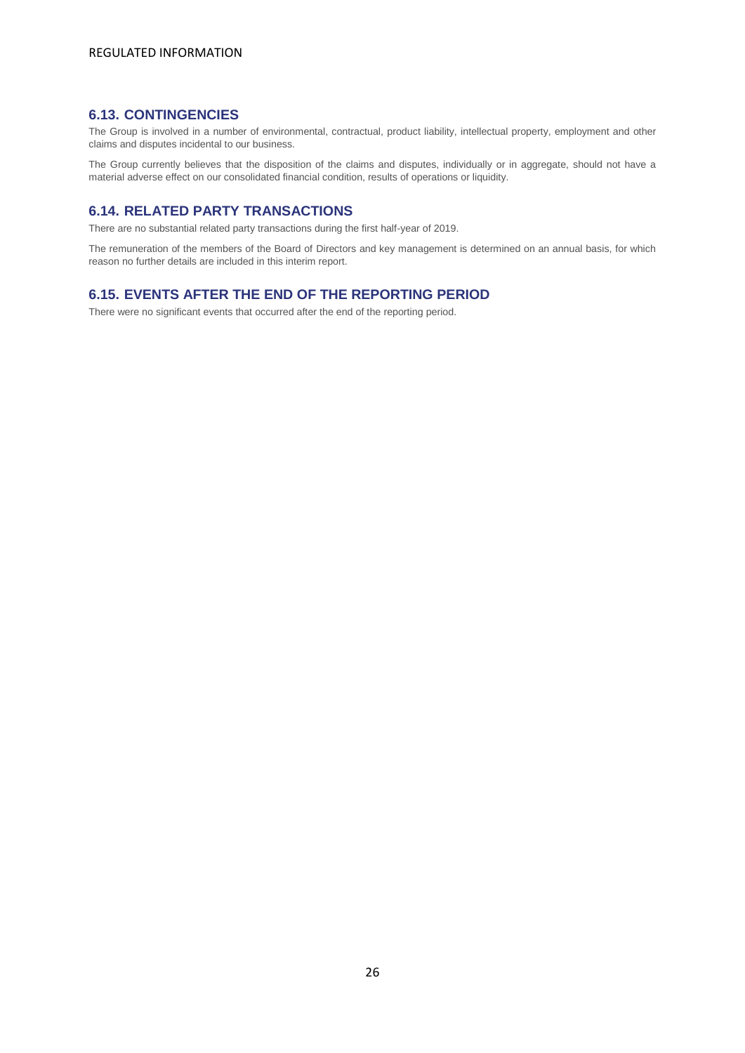# <span id="page-25-0"></span>**6.13. CONTINGENCIES**

The Group is involved in a number of environmental, contractual, product liability, intellectual property, employment and other claims and disputes incidental to our business.

The Group currently believes that the disposition of the claims and disputes, individually or in aggregate, should not have a material adverse effect on our consolidated financial condition, results of operations or liquidity.

# <span id="page-25-1"></span>**6.14. RELATED PARTY TRANSACTIONS**

There are no substantial related party transactions during the first half-year of 2019.

The remuneration of the members of the Board of Directors and key management is determined on an annual basis, for which reason no further details are included in this interim report.

# <span id="page-25-2"></span>**6.15. EVENTS AFTER THE END OF THE REPORTING PERIOD**

There were no significant events that occurred after the end of the reporting period.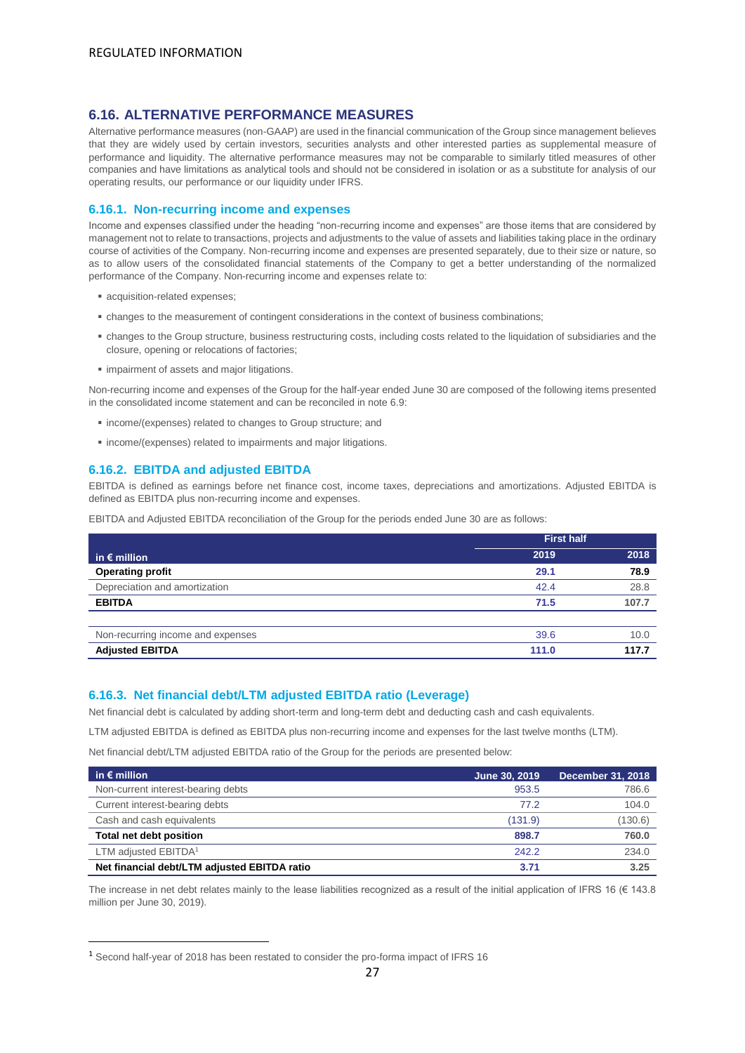# <span id="page-26-0"></span>**6.16. ALTERNATIVE PERFORMANCE MEASURES**

Alternative performance measures (non-GAAP) are used in the financial communication of the Group since management believes that they are widely used by certain investors, securities analysts and other interested parties as supplemental measure of performance and liquidity. The alternative performance measures may not be comparable to similarly titled measures of other companies and have limitations as analytical tools and should not be considered in isolation or as a substitute for analysis of our operating results, our performance or our liquidity under IFRS.

#### **6.16.1. Non-recurring income and expenses**

Income and expenses classified under the heading "non-recurring income and expenses" are those items that are considered by management not to relate to transactions, projects and adjustments to the value of assets and liabilities taking place in the ordinary course of activities of the Company. Non-recurring income and expenses are presented separately, due to their size or nature, so as to allow users of the consolidated financial statements of the Company to get a better understanding of the normalized performance of the Company. Non-recurring income and expenses relate to:

- acquisition-related expenses;
- changes to the measurement of contingent considerations in the context of business combinations;
- changes to the Group structure, business restructuring costs, including costs related to the liquidation of subsidiaries and the closure, opening or relocations of factories;
- **·** impairment of assets and major litigations.

Non-recurring income and expenses of the Group for the half-year ended June 30 are composed of the following items presented in the consolidated income statement and can be reconciled in note 6.9:

- income/(expenses) related to changes to Group structure; and
- income/(expenses) related to impairments and major litigations.

#### **6.16.2. EBITDA and adjusted EBITDA**

EBITDA is defined as earnings before net finance cost, income taxes, depreciations and amortizations. Adjusted EBITDA is defined as EBITDA plus non-recurring income and expenses.

EBITDA and Adjusted EBITDA reconciliation of the Group for the periods ended June 30 are as follows:

|                                   | <b>First half</b> |       |
|-----------------------------------|-------------------|-------|
| in $\epsilon$ million             | 2019              | 2018  |
| <b>Operating profit</b>           | 29.1              | 78.9  |
| Depreciation and amortization     | 42.4              | 28.8  |
| <b>EBITDA</b>                     | 71.5              | 107.7 |
|                                   |                   |       |
| Non-recurring income and expenses | 39.6              | 10.0  |
| <b>Adjusted EBITDA</b>            | 111.0             | 117.7 |

#### **6.16.3. Net financial debt/LTM adjusted EBITDA ratio (Leverage)**

Net financial debt is calculated by adding short-term and long-term debt and deducting cash and cash equivalents.

LTM adjusted EBITDA is defined as EBITDA plus non-recurring income and expenses for the last twelve months (LTM).

Net financial debt/LTM adjusted EBITDA ratio of the Group for the periods are presented below:

| in $\epsilon$ million                        | June 30, 2019 | <b>December 31, 2018</b> |
|----------------------------------------------|---------------|--------------------------|
| Non-current interest-bearing debts           | 953.5         | 786.6                    |
| Current interest-bearing debts               | 77.2          | 104.0                    |
| Cash and cash equivalents                    | (131.9)       | (130.6)                  |
| Total net debt position                      | 898.7         | 760.0                    |
| LTM adjusted EBITDA <sup>1</sup>             | 242.2         | 234.0                    |
| Net financial debt/LTM adjusted EBITDA ratio | 3.71          | 3.25                     |

The increase in net debt relates mainly to the lease liabilities recognized as a result of the initial application of IFRS 16 ( $\in$  143.8) million per June 30, 2019).

 $\overline{\phantom{a}}$ 

<sup>1</sup> Second half-year of 2018 has been restated to consider the pro-forma impact of IFRS 16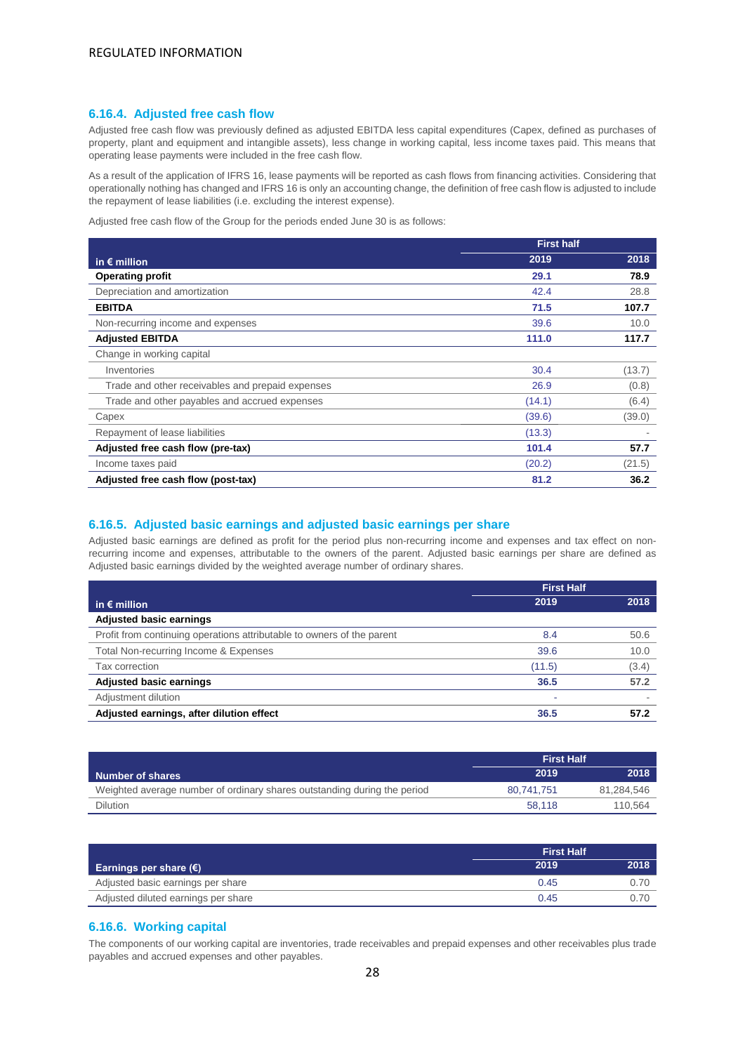#### **6.16.4. Adjusted free cash flow**

Adjusted free cash flow was previously defined as adjusted EBITDA less capital expenditures (Capex, defined as purchases of property, plant and equipment and intangible assets), less change in working capital, less income taxes paid. This means that operating lease payments were included in the free cash flow.

As a result of the application of IFRS 16, lease payments will be reported as cash flows from financing activities. Considering that operationally nothing has changed and IFRS 16 is only an accounting change, the definition of free cash flow is adjusted to include the repayment of lease liabilities (i.e. excluding the interest expense).

Adjusted free cash flow of the Group for the periods ended June 30 is as follows:

|                                                  | <b>First half</b> |        |
|--------------------------------------------------|-------------------|--------|
| in $\epsilon$ million                            | 2019              | 2018   |
| <b>Operating profit</b>                          | 29.1              | 78.9   |
| Depreciation and amortization                    | 42.4              | 28.8   |
| <b>EBITDA</b>                                    | 71.5              | 107.7  |
| Non-recurring income and expenses                | 39.6              | 10.0   |
| <b>Adjusted EBITDA</b>                           | 111.0             | 117.7  |
| Change in working capital                        |                   |        |
| Inventories                                      | 30.4              | (13.7) |
| Trade and other receivables and prepaid expenses | 26.9              | (0.8)  |
| Trade and other payables and accrued expenses    | (14.1)            | (6.4)  |
| Capex                                            | (39.6)            | (39.0) |
| Repayment of lease liabilities                   | (13.3)            |        |
| Adjusted free cash flow (pre-tax)                | 101.4             | 57.7   |
| Income taxes paid                                | (20.2)            | (21.5) |
| Adjusted free cash flow (post-tax)               | 81.2              | 36.2   |

#### **6.16.5. Adjusted basic earnings and adjusted basic earnings per share**

Adjusted basic earnings are defined as profit for the period plus non-recurring income and expenses and tax effect on nonrecurring income and expenses, attributable to the owners of the parent. Adjusted basic earnings per share are defined as Adjusted basic earnings divided by the weighted average number of ordinary shares.

|                                                                        | <b>First Half</b> |       |
|------------------------------------------------------------------------|-------------------|-------|
| in $\epsilon$ million                                                  | 2019              | 2018  |
| <b>Adjusted basic earnings</b>                                         |                   |       |
| Profit from continuing operations attributable to owners of the parent | 8.4               | 50.6  |
| Total Non-recurring Income & Expenses                                  | 39.6              | 10.0  |
| <b>Tax correction</b>                                                  | (11.5)            | (3.4) |
| <b>Adjusted basic earnings</b>                                         | 36.5              | 57.2  |
| Adjustment dilution                                                    |                   |       |
| Adjusted earnings, after dilution effect                               | 36.5              | 57.2  |

|                                                                          | <b>First Half</b> |            |
|--------------------------------------------------------------------------|-------------------|------------|
| <b>Number of shares</b>                                                  | 2019              | 2018       |
| Weighted average number of ordinary shares outstanding during the period | 80.741.751        | 81.284.546 |
| <b>Dilution</b>                                                          | 58.118            | 110.564    |

|                                     | <b>First Half</b> |      |
|-------------------------------------|-------------------|------|
| Earnings per share $(\epsilon)$     | 2019              | 2018 |
| Adjusted basic earnings per share   | 0.45              | 0.70 |
| Adjusted diluted earnings per share | 0.45              |      |

#### **6.16.6. Working capital**

The components of our working capital are inventories, trade receivables and prepaid expenses and other receivables plus trade payables and accrued expenses and other payables.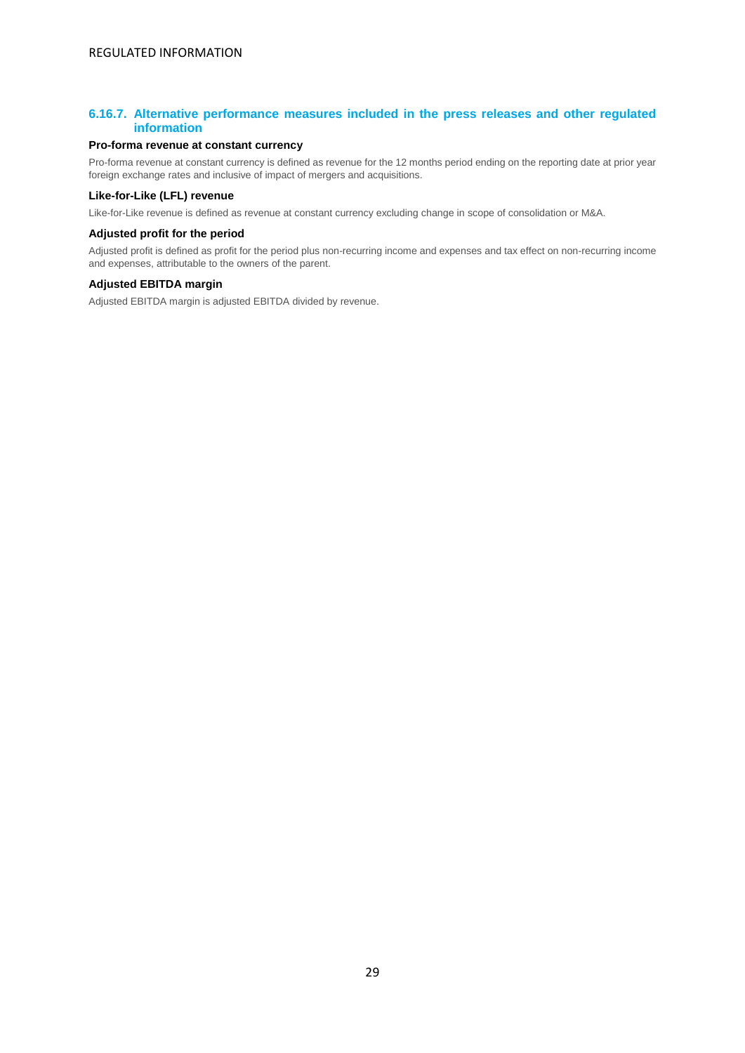### **6.16.7. Alternative performance measures included in the press releases and other regulated information**

#### **Pro-forma revenue at constant currency**

Pro-forma revenue at constant currency is defined as revenue for the 12 months period ending on the reporting date at prior year foreign exchange rates and inclusive of impact of mergers and acquisitions.

#### **Like-for-Like (LFL) revenue**

Like-for-Like revenue is defined as revenue at constant currency excluding change in scope of consolidation or M&A.

#### **Adjusted profit for the period**

Adjusted profit is defined as profit for the period plus non-recurring income and expenses and tax effect on non-recurring income and expenses, attributable to the owners of the parent.

#### **Adjusted EBITDA margin**

Adjusted EBITDA margin is adjusted EBITDA divided by revenue.